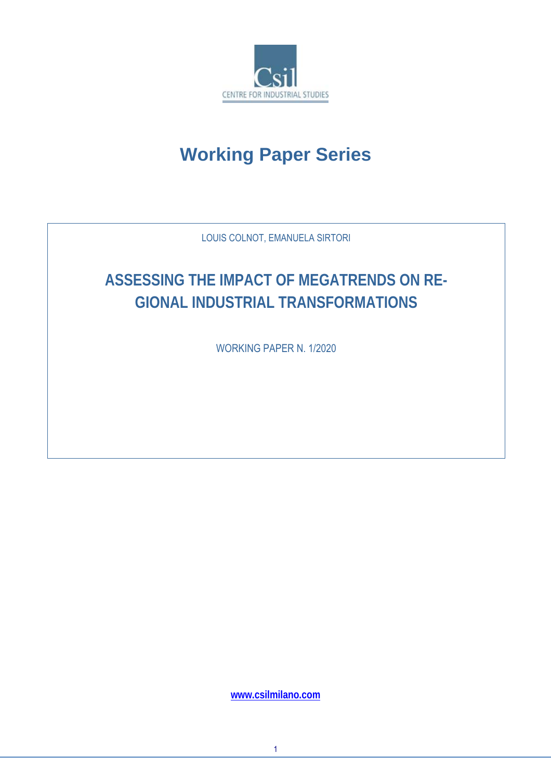

# **Working Paper Series**

LOUIS COLNOT, EMANUELA SIRTORI

# **ASSESSING THE IMPACT OF MEGATRENDS ON RE-GIONAL INDUSTRIAL TRANSFORMATIONS**

WORKING PAPER N. 1/2020

**www.csilmilano.com**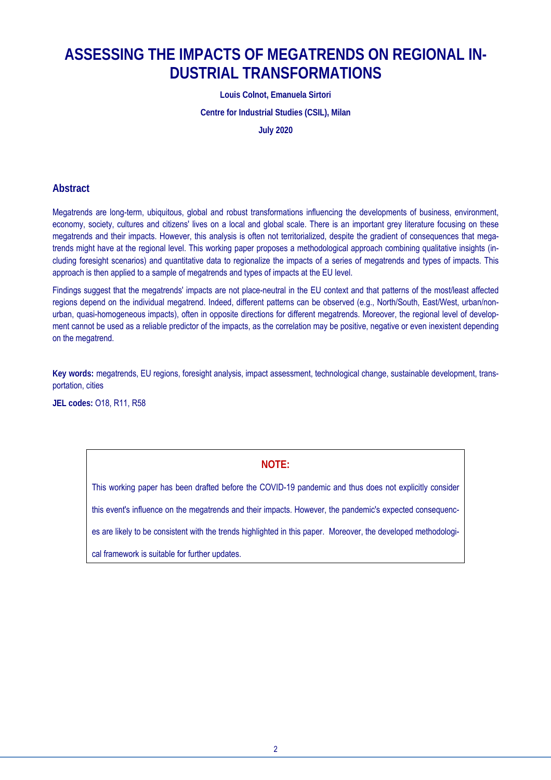### **ASSESSING THE IMPACTS OF MEGATRENDS ON REGIONAL IN-DUSTRIAL TRANSFORMATIONS**

**Louis Colnot, Emanuela Sirtori** 

**Centre for Industrial Studies (CSIL), Milan** 

**July 2020** 

### **Abstract**

Megatrends are long-term, ubiquitous, global and robust transformations influencing the developments of business, environment, economy, society, cultures and citizens' lives on a local and global scale. There is an important grey literature focusing on these megatrends and their impacts. However, this analysis is often not territorialized, despite the gradient of consequences that megatrends might have at the regional level. This working paper proposes a methodological approach combining qualitative insights (including foresight scenarios) and quantitative data to regionalize the impacts of a series of megatrends and types of impacts. This approach is then applied to a sample of megatrends and types of impacts at the EU level.

Findings suggest that the megatrends' impacts are not place-neutral in the EU context and that patterns of the most/least affected regions depend on the individual megatrend. Indeed, different patterns can be observed (e.g., North/South, East/West, urban/nonurban, quasi-homogeneous impacts), often in opposite directions for different megatrends. Moreover, the regional level of development cannot be used as a reliable predictor of the impacts, as the correlation may be positive, negative or even inexistent depending on the megatrend.

**Key words:** megatrends, EU regions, foresight analysis, impact assessment, technological change, sustainable development, transportation, cities

**JEL codes:** O18, R11, R58

#### **NOTE:**

This working paper has been drafted before the COVID-19 pandemic and thus does not explicitly consider this event's influence on the megatrends and their impacts. However, the pandemic's expected consequences are likely to be consistent with the trends highlighted in this paper. Moreover, the developed methodological framework is suitable for further updates.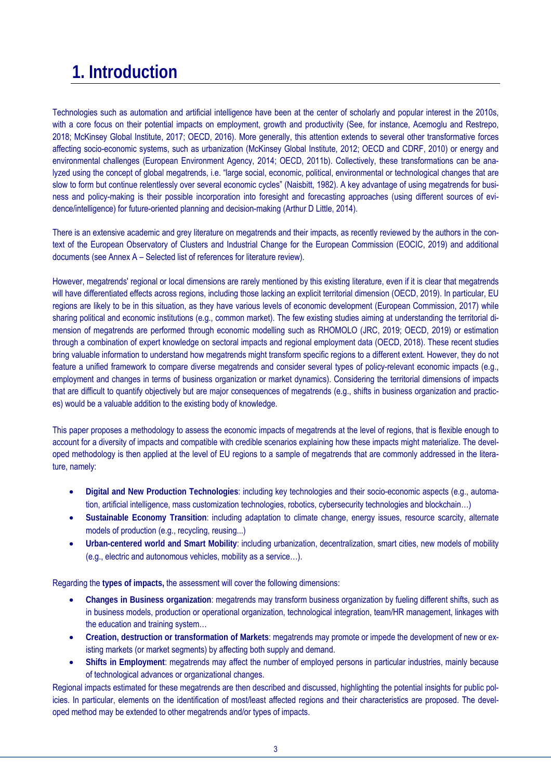# **1. Introduction**

Technologies such as automation and artificial intelligence have been at the center of scholarly and popular interest in the 2010s, with a core focus on their potential impacts on employment, growth and productivity (See, for instance, Acemoglu and Restrepo, 2018; McKinsey Global Institute, 2017; OECD, 2016). More generally, this attention extends to several other transformative forces affecting socio-economic systems, such as urbanization (McKinsey Global Institute, 2012; OECD and CDRF, 2010) or energy and environmental challenges (European Environment Agency, 2014; OECD, 2011b). Collectively, these transformations can be analyzed using the concept of global megatrends, i.e. "large social, economic, political, environmental or technological changes that are slow to form but continue relentlessly over several economic cycles" (Naisbitt, 1982). A key advantage of using megatrends for business and policy-making is their possible incorporation into foresight and forecasting approaches (using different sources of evidence/intelligence) for future-oriented planning and decision-making (Arthur D Little, 2014).

There is an extensive academic and grey literature on megatrends and their impacts, as recently reviewed by the authors in the context of the European Observatory of Clusters and Industrial Change for the European Commission (EOCIC, 2019) and additional documents (see Annex A – Selected list of references for literature review).

However, megatrends' regional or local dimensions are rarely mentioned by this existing literature, even if it is clear that megatrends will have differentiated effects across regions, including those lacking an explicit territorial dimension (OECD, 2019). In particular, EU regions are likely to be in this situation, as they have various levels of economic development (European Commission, 2017) while sharing political and economic institutions (e.g., common market). The few existing studies aiming at understanding the territorial dimension of megatrends are performed through economic modelling such as RHOMOLO (JRC, 2019; OECD, 2019) or estimation through a combination of expert knowledge on sectoral impacts and regional employment data (OECD, 2018). These recent studies bring valuable information to understand how megatrends might transform specific regions to a different extent. However, they do not feature a unified framework to compare diverse megatrends and consider several types of policy-relevant economic impacts (e.g., employment and changes in terms of business organization or market dynamics). Considering the territorial dimensions of impacts that are difficult to quantify objectively but are major consequences of megatrends (e.g., shifts in business organization and practices) would be a valuable addition to the existing body of knowledge.

This paper proposes a methodology to assess the economic impacts of megatrends at the level of regions, that is flexible enough to account for a diversity of impacts and compatible with credible scenarios explaining how these impacts might materialize. The developed methodology is then applied at the level of EU regions to a sample of megatrends that are commonly addressed in the literature, namely:

- **Digital and New Production Technologies**: including key technologies and their socio-economic aspects (e.g., automation, artificial intelligence, mass customization technologies, robotics, cybersecurity technologies and blockchain…)
- **Sustainable Economy Transition**: including adaptation to climate change, energy issues, resource scarcity, alternate models of production (e.g., recycling, reusing...)
- **Urban-centered world and Smart Mobility**: including urbanization, decentralization, smart cities, new models of mobility (e.g., electric and autonomous vehicles, mobility as a service…).

Regarding the **types of impacts,** the assessment will cover the following dimensions:

- **Changes in Business organization**: megatrends may transform business organization by fueling different shifts, such as in business models, production or operational organization, technological integration, team/HR management, linkages with the education and training system…
- **Creation, destruction or transformation of Markets**: megatrends may promote or impede the development of new or existing markets (or market segments) by affecting both supply and demand.
- **Shifts in Employment**: megatrends may affect the number of employed persons in particular industries, mainly because of technological advances or organizational changes.

Regional impacts estimated for these megatrends are then described and discussed, highlighting the potential insights for public policies. In particular, elements on the identification of most/least affected regions and their characteristics are proposed. The developed method may be extended to other megatrends and/or types of impacts.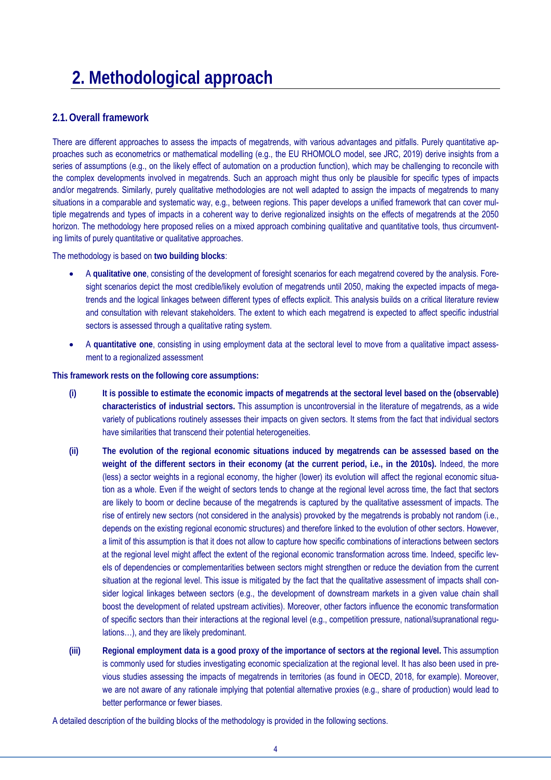# **2. Methodological approach**

### **2.1.Overall framework**

There are different approaches to assess the impacts of megatrends, with various advantages and pitfalls. Purely quantitative approaches such as econometrics or mathematical modelling (e.g., the EU RHOMOLO model, see JRC, 2019) derive insights from a series of assumptions (e.g., on the likely effect of automation on a production function), which may be challenging to reconcile with the complex developments involved in megatrends. Such an approach might thus only be plausible for specific types of impacts and/or megatrends. Similarly, purely qualitative methodologies are not well adapted to assign the impacts of megatrends to many situations in a comparable and systematic way, e.g., between regions. This paper develops a unified framework that can cover multiple megatrends and types of impacts in a coherent way to derive regionalized insights on the effects of megatrends at the 2050 horizon. The methodology here proposed relies on a mixed approach combining qualitative and quantitative tools, thus circumventing limits of purely quantitative or qualitative approaches.

The methodology is based on **two building blocks**:

- A **qualitative one**, consisting of the development of foresight scenarios for each megatrend covered by the analysis. Foresight scenarios depict the most credible/likely evolution of megatrends until 2050, making the expected impacts of megatrends and the logical linkages between different types of effects explicit. This analysis builds on a critical literature review and consultation with relevant stakeholders. The extent to which each megatrend is expected to affect specific industrial sectors is assessed through a qualitative rating system.
- A **quantitative one**, consisting in using employment data at the sectoral level to move from a qualitative impact assessment to a regionalized assessment

**This framework rests on the following core assumptions:**

- **(i) It is possible to estimate the economic impacts of megatrends at the sectoral level based on the (observable) characteristics of industrial sectors.** This assumption is uncontroversial in the literature of megatrends, as a wide variety of publications routinely assesses their impacts on given sectors. It stems from the fact that individual sectors have similarities that transcend their potential heterogeneities.
- **(ii) The evolution of the regional economic situations induced by megatrends can be assessed based on the weight of the different sectors in their economy (at the current period, i.e., in the 2010s).** Indeed, the more (less) a sector weights in a regional economy, the higher (lower) its evolution will affect the regional economic situation as a whole. Even if the weight of sectors tends to change at the regional level across time, the fact that sectors are likely to boom or decline because of the megatrends is captured by the qualitative assessment of impacts. The rise of entirely new sectors (not considered in the analysis) provoked by the megatrends is probably not random (i.e., depends on the existing regional economic structures) and therefore linked to the evolution of other sectors. However, a limit of this assumption is that it does not allow to capture how specific combinations of interactions between sectors at the regional level might affect the extent of the regional economic transformation across time. Indeed, specific levels of dependencies or complementarities between sectors might strengthen or reduce the deviation from the current situation at the regional level. This issue is mitigated by the fact that the qualitative assessment of impacts shall consider logical linkages between sectors (e.g., the development of downstream markets in a given value chain shall boost the development of related upstream activities). Moreover, other factors influence the economic transformation of specific sectors than their interactions at the regional level (e.g., competition pressure, national/supranational regulations…), and they are likely predominant.
- **(iii) Regional employment data is a good proxy of the importance of sectors at the regional level.** This assumption is commonly used for studies investigating economic specialization at the regional level. It has also been used in previous studies assessing the impacts of megatrends in territories (as found in OECD, 2018, for example). Moreover, we are not aware of any rationale implying that potential alternative proxies (e.g., share of production) would lead to better performance or fewer biases.

A detailed description of the building blocks of the methodology is provided in the following sections.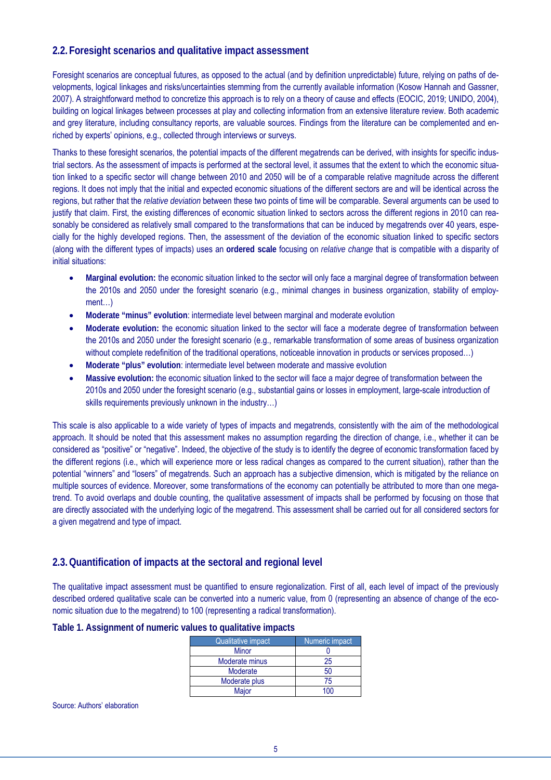### **2.2. Foresight scenarios and qualitative impact assessment**

Foresight scenarios are conceptual futures, as opposed to the actual (and by definition unpredictable) future, relying on paths of developments, logical linkages and risks/uncertainties stemming from the currently available information (Kosow Hannah and Gassner, 2007). A straightforward method to concretize this approach is to rely on a theory of cause and effects (EOCIC, 2019; UNIDO, 2004), building on logical linkages between processes at play and collecting information from an extensive literature review. Both academic and grey literature, including consultancy reports, are valuable sources. Findings from the literature can be complemented and enriched by experts' opinions, e.g., collected through interviews or surveys.

Thanks to these foresight scenarios, the potential impacts of the different megatrends can be derived, with insights for specific industrial sectors. As the assessment of impacts is performed at the sectoral level, it assumes that the extent to which the economic situation linked to a specific sector will change between 2010 and 2050 will be of a comparable relative magnitude across the different regions. It does not imply that the initial and expected economic situations of the different sectors are and will be identical across the regions, but rather that the *relative deviation* between these two points of time will be comparable. Several arguments can be used to justify that claim. First, the existing differences of economic situation linked to sectors across the different regions in 2010 can reasonably be considered as relatively small compared to the transformations that can be induced by megatrends over 40 years, especially for the highly developed regions. Then, the assessment of the deviation of the economic situation linked to specific sectors (along with the different types of impacts) uses an **ordered scale** focusing on *relative change* that is compatible with a disparity of initial situations:

- **Marginal evolution:** the economic situation linked to the sector will only face a marginal degree of transformation between the 2010s and 2050 under the foresight scenario (e.g., minimal changes in business organization, stability of employment…)
- **Moderate "minus" evolution**: intermediate level between marginal and moderate evolution
- **Moderate evolution:** the economic situation linked to the sector will face a moderate degree of transformation between the 2010s and 2050 under the foresight scenario (e.g., remarkable transformation of some areas of business organization without complete redefinition of the traditional operations, noticeable innovation in products or services proposed...)
- **Moderate "plus" evolution**: intermediate level between moderate and massive evolution
- **Massive evolution:** the economic situation linked to the sector will face a major degree of transformation between the 2010s and 2050 under the foresight scenario (e.g., substantial gains or losses in employment, large-scale introduction of skills requirements previously unknown in the industry...)

This scale is also applicable to a wide variety of types of impacts and megatrends, consistently with the aim of the methodological approach. It should be noted that this assessment makes no assumption regarding the direction of change, i.e., whether it can be considered as "positive" or "negative". Indeed, the objective of the study is to identify the degree of economic transformation faced by the different regions (i.e., which will experience more or less radical changes as compared to the current situation), rather than the potential "winners" and "losers" of megatrends. Such an approach has a subjective dimension, which is mitigated by the reliance on multiple sources of evidence. Moreover, some transformations of the economy can potentially be attributed to more than one megatrend. To avoid overlaps and double counting, the qualitative assessment of impacts shall be performed by focusing on those that are directly associated with the underlying logic of the megatrend. This assessment shall be carried out for all considered sectors for a given megatrend and type of impact.

### **2.3.Quantification of impacts at the sectoral and regional level**

The qualitative impact assessment must be quantified to ensure regionalization. First of all, each level of impact of the previously described ordered qualitative scale can be converted into a numeric value, from 0 (representing an absence of change of the economic situation due to the megatrend) to 100 (representing a radical transformation).

#### **Table 1. Assignment of numeric values to qualitative impacts**

| <b>Qualitative impact</b> | Numeric impact |
|---------------------------|----------------|
| <b>Minor</b>              |                |
| Moderate minus            | 25             |
| <b>Moderate</b>           | 50             |
| Moderate plus             | 75             |
| Major                     |                |

Source: Authors' elaboration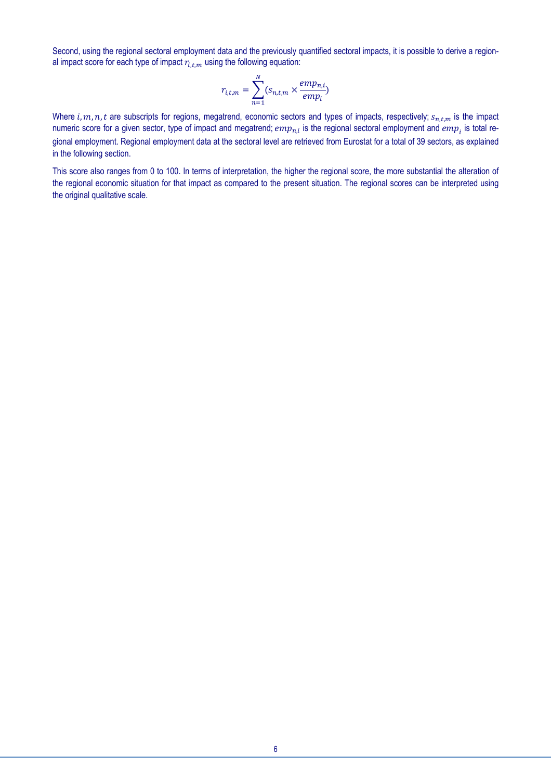Second, using the regional sectoral employment data and the previously quantified sectoral impacts, it is possible to derive a regional impact score for each type of impact  $r_{i,t,m}$  using the following equation:

$$
r_{i,t,m} = \sum_{n=1}^{N} (s_{n,t,m} \times \frac{emp_{n,i}}{emp_i})
$$

Where  $i, m, n, t$  are subscripts for regions, megatrend, economic sectors and types of impacts, respectively;  $s_{n,t,m}$  is the impact numeric score for a given sector, type of impact and megatrend;  $emp_{n,i}$  is the regional sectoral employment and  $emp_i$  is total regional employment. Regional employment data at the sectoral level are retrieved from Eurostat for a total of 39 sectors, as explained in the following section.

This score also ranges from 0 to 100. In terms of interpretation, the higher the regional score, the more substantial the alteration of the regional economic situation for that impact as compared to the present situation. The regional scores can be interpreted using the original qualitative scale.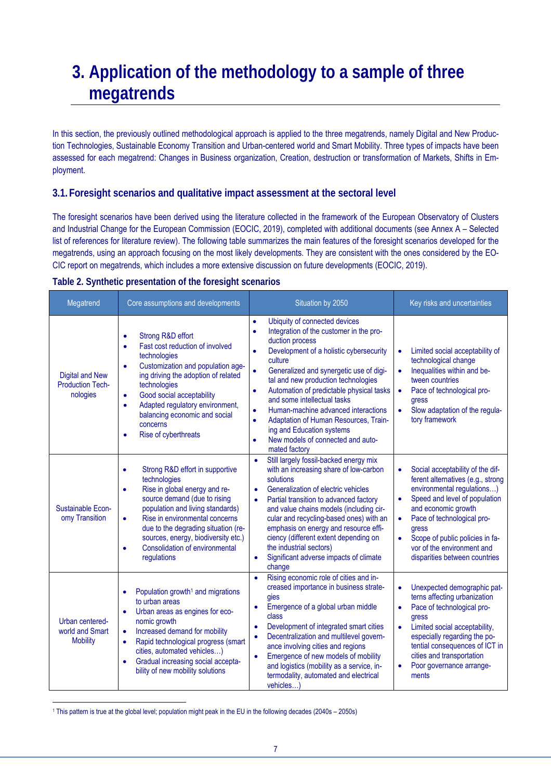# **3. Application of the methodology to a sample of three megatrends**

In this section, the previously outlined methodological approach is applied to the three megatrends, namely Digital and New Production Technologies, Sustainable Economy Transition and Urban-centered world and Smart Mobility. Three types of impacts have been assessed for each megatrend: Changes in Business organization, Creation, destruction or transformation of Markets, Shifts in Employment.

#### **3.1. Foresight scenarios and qualitative impact assessment at the sectoral level**

The foresight scenarios have been derived using the literature collected in the framework of the European Observatory of Clusters and Industrial Change for the European Commission (EOCIC, 2019), completed with additional documents (see Annex A – Selected list of references for literature review). The following table summarizes the main features of the foresight scenarios developed for the megatrends, using an approach focusing on the most likely developments. They are consistent with the ones considered by the EO-CIC report on megatrends, which includes a more extensive discussion on future developments (EOCIC, 2019).

| Table 2. Synthetic presentation of the foresight scenarios |  |  |
|------------------------------------------------------------|--|--|
|                                                            |  |  |

| Megatrend                                                     | Core assumptions and developments                                                                                                                                                                                                                                                                                                                                                   | Situation by 2050                                                                                                                                                                                                                                                                                                                                                                                                                                                                                                                                                         | Key risks and uncertainties                                                                                                                                                                                                                                                                                                                              |
|---------------------------------------------------------------|-------------------------------------------------------------------------------------------------------------------------------------------------------------------------------------------------------------------------------------------------------------------------------------------------------------------------------------------------------------------------------------|---------------------------------------------------------------------------------------------------------------------------------------------------------------------------------------------------------------------------------------------------------------------------------------------------------------------------------------------------------------------------------------------------------------------------------------------------------------------------------------------------------------------------------------------------------------------------|----------------------------------------------------------------------------------------------------------------------------------------------------------------------------------------------------------------------------------------------------------------------------------------------------------------------------------------------------------|
| <b>Digital and New</b><br><b>Production Tech-</b><br>nologies | Strong R&D effort<br>$\bullet$<br>Fast cost reduction of involved<br>$\bullet$<br>technologies<br>Customization and population age-<br>$\bullet$<br>ing driving the adoption of related<br>technologies<br>Good social acceptability<br>$\bullet$<br>Adapted regulatory environment,<br>$\bullet$<br>balancing economic and social<br>concerns<br>Rise of cyberthreats<br>$\bullet$ | Ubiquity of connected devices<br>$\bullet$<br>Integration of the customer in the pro-<br>$\bullet$<br>duction process<br>Development of a holistic cybersecurity<br>٠<br>culture<br>Generalized and synergetic use of digi-<br>$\bullet$<br>tal and new production technologies<br>Automation of predictable physical tasks<br>$\bullet$<br>and some intellectual tasks<br>Human-machine advanced interactions<br>$\bullet$<br>Adaptation of Human Resources, Train-<br>$\bullet$<br>ing and Education systems<br>New models of connected and auto-<br>ò<br>mated factory | Limited social acceptability of<br>$\bullet$<br>technological change<br>Inequalities within and be-<br>$\bullet$<br>tween countries<br>Pace of technological pro-<br>$\bullet$<br>gress<br>Slow adaptation of the regula-<br>$\bullet$<br>tory framework                                                                                                 |
| Sustainable Econ-<br>omy Transition                           | Strong R&D effort in supportive<br>$\bullet$<br>technologies<br>Rise in global energy and re-<br>$\bullet$<br>source demand (due to rising<br>population and living standards)<br>Rise in environmental concerns<br>$\bullet$<br>due to the degrading situation (re-<br>sources, energy, biodiversity etc.)<br>Consolidation of environmental<br>٠<br>regulations                   | Still largely fossil-backed energy mix<br>$\bullet$<br>with an increasing share of low-carbon<br>solutions<br>Generalization of electric vehicles<br>$\bullet$<br>Partial transition to advanced factory<br>$\bullet$<br>and value chains models (including cir-<br>cular and recycling-based ones) with an<br>emphasis on energy and resource effi-<br>ciency (different extent depending on<br>the industrial sectors)<br>Significant adverse impacts of climate<br>$\bullet$<br>change                                                                                 | Social acceptability of the dif-<br>$\bullet$<br>ferent alternatives (e.g., strong<br>environmental regulations)<br>Speed and level of population<br>$\bullet$<br>and economic growth<br>Pace of technological pro-<br>$\bullet$<br>gress<br>Scope of public policies in fa-<br>$\bullet$<br>vor of the environment and<br>disparities between countries |
| Urban centered-<br>world and Smart<br><b>Mobility</b>         | Population growth <sup>1</sup> and migrations<br>$\bullet$<br>to urban areas<br>Urban areas as engines for eco-<br>$\bullet$<br>nomic growth<br>Increased demand for mobility<br>$\bullet$<br>Rapid technological progress (smart<br>$\bullet$<br>cities, automated vehicles)<br>Gradual increasing social accepta-<br>$\bullet$<br>bility of new mobility solutions                | Rising economic role of cities and in-<br>$\bullet$<br>creased importance in business strate-<br>gies<br>Emergence of a global urban middle<br>$\bullet$<br>class<br>Development of integrated smart cities<br>$\bullet$<br>Decentralization and multilevel govern-<br>$\bullet$<br>ance involving cities and regions<br>Emergence of new models of mobility<br>$\bullet$<br>and logistics (mobility as a service, in-<br>termodality, automated and electrical<br>vehicles)                                                                                              | Unexpected demographic pat-<br>$\bullet$<br>terns affecting urbanization<br>Pace of technological pro-<br>$\bullet$<br>gress<br>Limited social acceptability,<br>$\bullet$<br>especially regarding the po-<br>tential consequences of ICT in<br>cities and transportation<br>Poor governance arrange-<br>$\bullet$<br>ments                              |

1 This pattern is true at the global level; population might peak in the EU in the following decades (2040s – 2050s)

 $\overline{a}$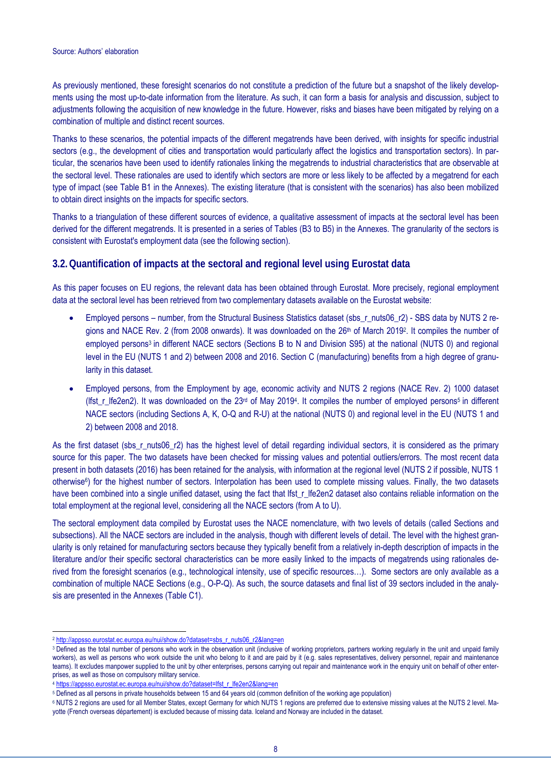As previously mentioned, these foresight scenarios do not constitute a prediction of the future but a snapshot of the likely developments using the most up-to-date information from the literature. As such, it can form a basis for analysis and discussion, subject to adjustments following the acquisition of new knowledge in the future. However, risks and biases have been mitigated by relying on a combination of multiple and distinct recent sources.

Thanks to these scenarios, the potential impacts of the different megatrends have been derived, with insights for specific industrial sectors (e.g., the development of cities and transportation would particularly affect the logistics and transportation sectors). In particular, the scenarios have been used to identify rationales linking the megatrends to industrial characteristics that are observable at the sectoral level. These rationales are used to identify which sectors are more or less likely to be affected by a megatrend for each type of impact (see Table B1 in the Annexes). The existing literature (that is consistent with the scenarios) has also been mobilized to obtain direct insights on the impacts for specific sectors.

Thanks to a triangulation of these different sources of evidence, a qualitative assessment of impacts at the sectoral level has been derived for the different megatrends. It is presented in a series of Tables (B3 to B5) in the Annexes. The granularity of the sectors is consistent with Eurostat's employment data (see the following section).

### **3.2.Quantification of impacts at the sectoral and regional level using Eurostat data**

As this paper focuses on EU regions, the relevant data has been obtained through Eurostat. More precisely, regional employment data at the sectoral level has been retrieved from two complementary datasets available on the Eurostat website:

- Employed persons number, from the Structural Business Statistics dataset (sbs\_r\_nuts06\_r2) SBS data by NUTS 2 regions and NACE Rev. 2 (from 2008 onwards). It was downloaded on the 26th of March 2019<sup>2</sup>. It compiles the number of employed persons<sup>3</sup> in different NACE sectors (Sections B to N and Division S95) at the national (NUTS 0) and regional level in the EU (NUTS 1 and 2) between 2008 and 2016. Section C (manufacturing) benefits from a high degree of granularity in this dataset.
- Employed persons, from the Employment by age, economic activity and NUTS 2 regions (NACE Rev. 2) 1000 dataset (Ifst r\_lfe2en2). It was downloaded on the  $23$ <sup>rd</sup> of May 2019<sup>4</sup>. It compiles the number of employed persons<sup>5</sup> in different NACE sectors (including Sections A, K, O-Q and R-U) at the national (NUTS 0) and regional level in the EU (NUTS 1 and 2) between 2008 and 2018.

As the first dataset (sbs r nuts06 r2) has the highest level of detail regarding individual sectors, it is considered as the primary source for this paper. The two datasets have been checked for missing values and potential outliers/errors. The most recent data present in both datasets (2016) has been retained for the analysis, with information at the regional level (NUTS 2 if possible, NUTS 1 otherwise6) for the highest number of sectors. Interpolation has been used to complete missing values. Finally, the two datasets have been combined into a single unified dataset, using the fact that lfst r lfe2en2 dataset also contains reliable information on the total employment at the regional level, considering all the NACE sectors (from A to U).

The sectoral employment data compiled by Eurostat uses the NACE nomenclature, with two levels of details (called Sections and subsections). All the NACE sectors are included in the analysis, though with different levels of detail. The level with the highest granularity is only retained for manufacturing sectors because they typically benefit from a relatively in-depth description of impacts in the literature and/or their specific sectoral characteristics can be more easily linked to the impacts of megatrends using rationales derived from the foresight scenarios (e.g., technological intensity, use of specific resources…). Some sectors are only available as a combination of multiple NACE Sections (e.g., O-P-Q). As such, the source datasets and final list of 39 sectors included in the analysis are presented in the Annexes (Table C1).

 $\overline{a}$ <sup>2</sup> http://appsso.eurostat.ec.europa.eu/nui/show.do?dataset=sbs\_r\_nuts06\_r2&lang=en

<sup>&</sup>lt;sup>3</sup> Defined as the total number of persons who work in the observation unit (inclusive of working proprietors, partners working regularly in the unit and unpaid family workers), as well as persons who work outside the unit who belong to it and are paid by it (e.g. sales representatives, delivery personnel, repair and maintenance teams). It excludes manpower supplied to the unit by other enterprises, persons carrying out repair and maintenance work in the enquiry unit on behalf of other enterprises, as well as those on compulsory military service.

<sup>4</sup> https://appsso.eurostat.ec.europa.eu/nui/show.do?dataset=lfst\_r\_lfe2en2&lang=en

<sup>5</sup> Defined as all persons in private households between 15 and 64 years old (common definition of the working age population)

<sup>&</sup>lt;sup>6</sup> NUTS 2 regions are used for all Member States, except Germany for which NUTS 1 regions are preferred due to extensive missing values at the NUTS 2 level. Mayotte (French overseas département) is excluded because of missing data. Iceland and Norway are included in the dataset.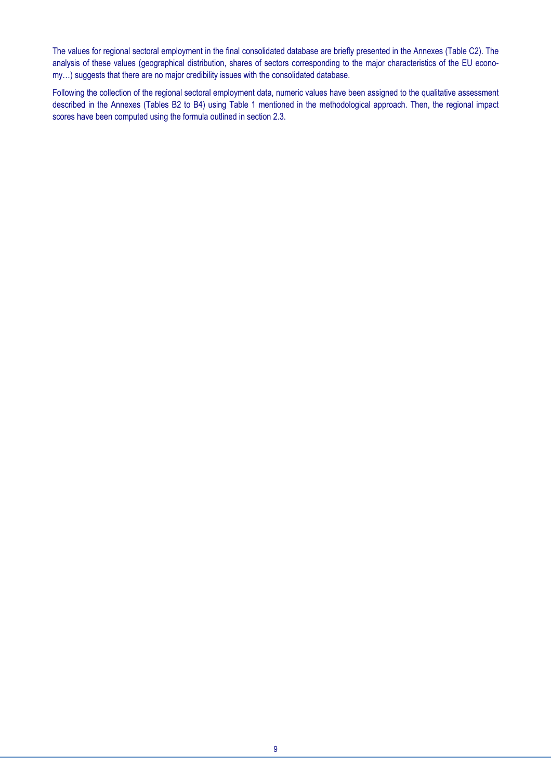The values for regional sectoral employment in the final consolidated database are briefly presented in the Annexes (Table C2). The analysis of these values (geographical distribution, shares of sectors corresponding to the major characteristics of the EU economy…) suggests that there are no major credibility issues with the consolidated database.

Following the collection of the regional sectoral employment data, numeric values have been assigned to the qualitative assessment described in the Annexes (Tables B2 to B4) using Table 1 mentioned in the methodological approach. Then, the regional impact scores have been computed using the formula outlined in section 2.3.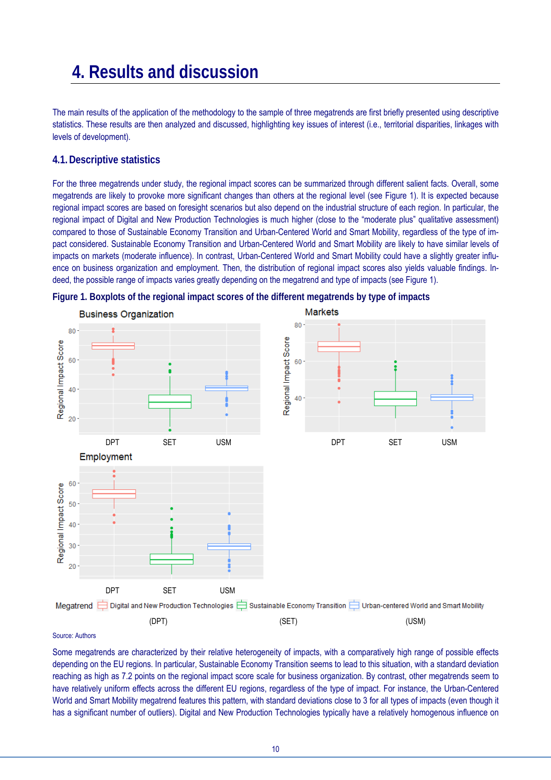# **4. Results and discussion**

The main results of the application of the methodology to the sample of three megatrends are first briefly presented using descriptive statistics. These results are then analyzed and discussed, highlighting key issues of interest (i.e., territorial disparities, linkages with levels of development).

#### **4.1.Descriptive statistics**

For the three megatrends under study, the regional impact scores can be summarized through different salient facts. Overall, some megatrends are likely to provoke more significant changes than others at the regional level (see Figure 1). It is expected because regional impact scores are based on foresight scenarios but also depend on the industrial structure of each region. In particular, the regional impact of Digital and New Production Technologies is much higher (close to the "moderate plus" qualitative assessment) compared to those of Sustainable Economy Transition and Urban-Centered World and Smart Mobility, regardless of the type of impact considered. Sustainable Economy Transition and Urban-Centered World and Smart Mobility are likely to have similar levels of impacts on markets (moderate influence). In contrast, Urban-Centered World and Smart Mobility could have a slightly greater influence on business organization and employment. Then, the distribution of regional impact scores also yields valuable findings. Indeed, the possible range of impacts varies greatly depending on the megatrend and type of impacts (see Figure 1).





#### Source: Authors

Some megatrends are characterized by their relative heterogeneity of impacts, with a comparatively high range of possible effects depending on the EU regions. In particular, Sustainable Economy Transition seems to lead to this situation, with a standard deviation reaching as high as 7.2 points on the regional impact score scale for business organization. By contrast, other megatrends seem to have relatively uniform effects across the different EU regions, regardless of the type of impact. For instance, the Urban-Centered World and Smart Mobility megatrend features this pattern, with standard deviations close to 3 for all types of impacts (even though it has a significant number of outliers). Digital and New Production Technologies typically have a relatively homogenous influence on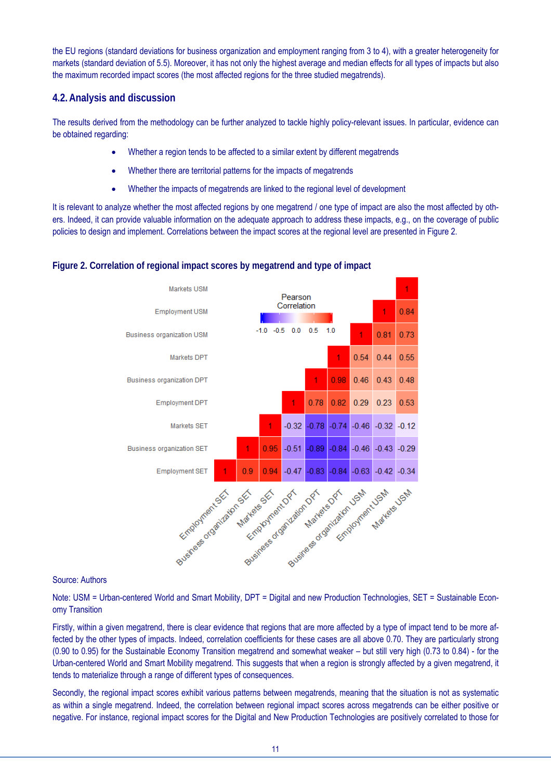the EU regions (standard deviations for business organization and employment ranging from 3 to 4), with a greater heterogeneity for markets (standard deviation of 5.5). Moreover, it has not only the highest average and median effects for all types of impacts but also the maximum recorded impact scores (the most affected regions for the three studied megatrends).

#### **4.2.Analysis and discussion**

The results derived from the methodology can be further analyzed to tackle highly policy-relevant issues. In particular, evidence can be obtained regarding:

- Whether a region tends to be affected to a similar extent by different megatrends
- Whether there are territorial patterns for the impacts of megatrends
- Whether the impacts of megatrends are linked to the regional level of development

It is relevant to analyze whether the most affected regions by one megatrend / one type of impact are also the most affected by others. Indeed, it can provide valuable information on the adequate approach to address these impacts, e.g., on the coverage of public policies to design and implement. Correlations between the impact scores at the regional level are presented in Figure 2.

#### **Figure 2. Correlation of regional impact scores by megatrend and type of impact**



#### Source: Authors

Note: USM = Urban-centered World and Smart Mobility, DPT = Digital and new Production Technologies, SET = Sustainable Economy Transition

Firstly, within a given megatrend, there is clear evidence that regions that are more affected by a type of impact tend to be more affected by the other types of impacts. Indeed, correlation coefficients for these cases are all above 0.70. They are particularly strong (0.90 to 0.95) for the Sustainable Economy Transition megatrend and somewhat weaker – but still very high (0.73 to 0.84) - for the Urban-centered World and Smart Mobility megatrend. This suggests that when a region is strongly affected by a given megatrend, it tends to materialize through a range of different types of consequences.

Secondly, the regional impact scores exhibit various patterns between megatrends, meaning that the situation is not as systematic as within a single megatrend. Indeed, the correlation between regional impact scores across megatrends can be either positive or negative. For instance, regional impact scores for the Digital and New Production Technologies are positively correlated to those for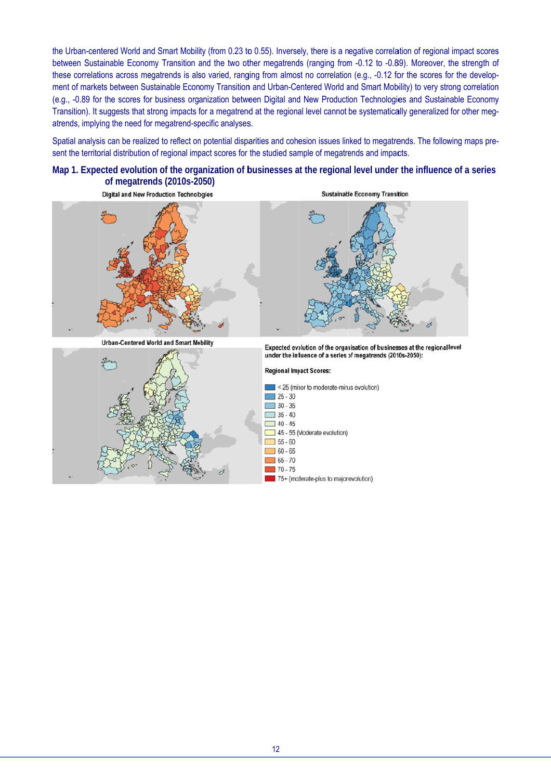the Urban-centered World and Smart Mobility (from 0.23 to 0.55). Inversely, there is a negative correlation of regional impact scores between Sustainable Economy Transition and the two other megatrends (ranging from -0.12 to -0.89). Moreover, the strength of these correlations across megatrends is also varied, ranging from almost no correlation (e.g., -0.12 for the scores for the development of markets between Sustainable Economy Transition and Urban-Centered World and Smart Mobility) to very strong correlation (e.g., -0.89 for the scores for business organization between Digital and New Production Technologies and Sustainable Economy Transition). It suggests that strong impacts for a megatrend at the regional level cannot be systematically generalized for other megatrends, implying the need for megatrend-specific analyses. S<br>)n<br>y<br>1-

Spatial analysis can be realized to reflect on potential disparities and cohesion issues linked to megatrends. The following maps present the territorial distribution of regional impact scores for the studied sample of megatrends and impacts.

#### Map 1. Expected evolution of the organization of businesses at the regional level under the influence of a series **of megatrends (2010s-2050)**





12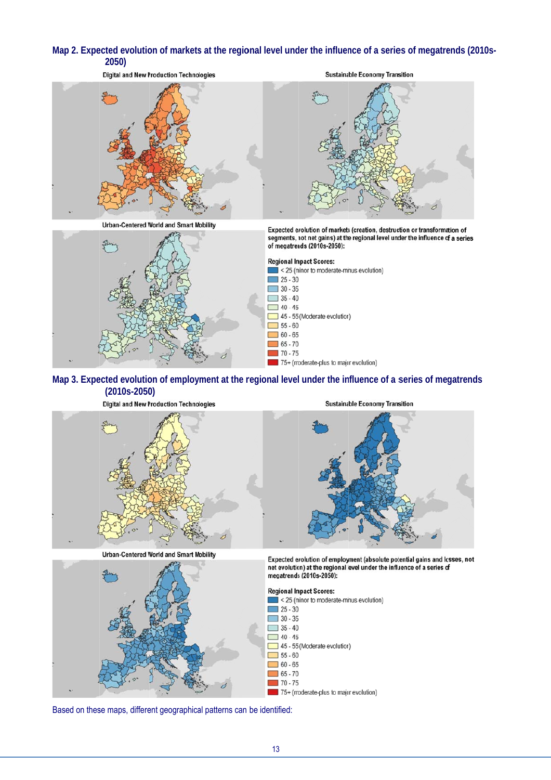#### Map 2. Expected evolution of markets at the regional level under the influence of a series of megatrends (2010s-**2050)**



#### Map 3. Expected evolution of employment at the regional level under the influence of a series of megatrends **(2010s-2050 0)**





**Urban-Centered World and Smart Mobility** 



**Sustainable Economy Transition** 

Expected evolution of employment (absolute potential gains and losses, not net evolution) at the regional level under the influence of a series of megatrends (2010s-2050):



Based on these maps, different geographical patterns can be identified: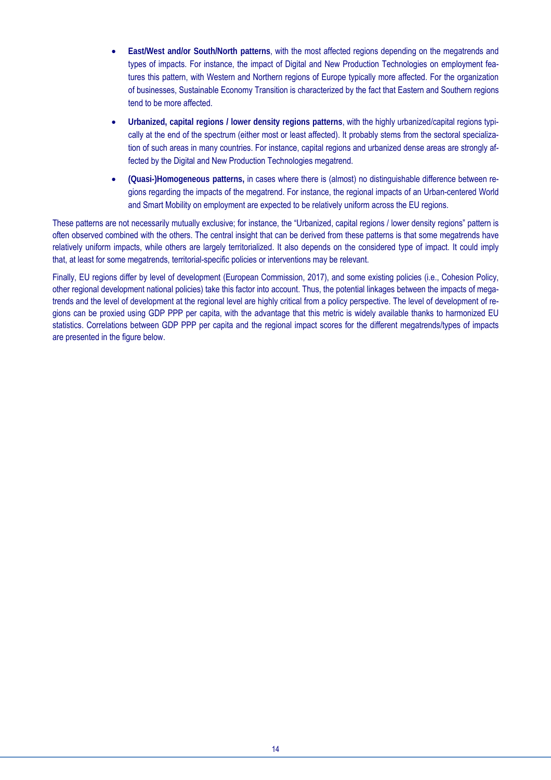- **East/West and/or South/North patterns**, with the most affected regions depending on the megatrends and types of impacts. For instance, the impact of Digital and New Production Technologies on employment features this pattern, with Western and Northern regions of Europe typically more affected. For the organization of businesses, Sustainable Economy Transition is characterized by the fact that Eastern and Southern regions tend to be more affected.
- **Urbanized, capital regions / lower density regions patterns**, with the highly urbanized/capital regions typically at the end of the spectrum (either most or least affected). It probably stems from the sectoral specialization of such areas in many countries. For instance, capital regions and urbanized dense areas are strongly affected by the Digital and New Production Technologies megatrend.
- **(Quasi-)Homogeneous patterns,** in cases where there is (almost) no distinguishable difference between regions regarding the impacts of the megatrend. For instance, the regional impacts of an Urban-centered World and Smart Mobility on employment are expected to be relatively uniform across the EU regions.

These patterns are not necessarily mutually exclusive; for instance, the "Urbanized, capital regions / lower density regions" pattern is often observed combined with the others. The central insight that can be derived from these patterns is that some megatrends have relatively uniform impacts, while others are largely territorialized. It also depends on the considered type of impact. It could imply that, at least for some megatrends, territorial-specific policies or interventions may be relevant.

Finally, EU regions differ by level of development (European Commission, 2017), and some existing policies (i.e., Cohesion Policy, other regional development national policies) take this factor into account. Thus, the potential linkages between the impacts of megatrends and the level of development at the regional level are highly critical from a policy perspective. The level of development of regions can be proxied using GDP PPP per capita, with the advantage that this metric is widely available thanks to harmonized EU statistics. Correlations between GDP PPP per capita and the regional impact scores for the different megatrends/types of impacts are presented in the figure below.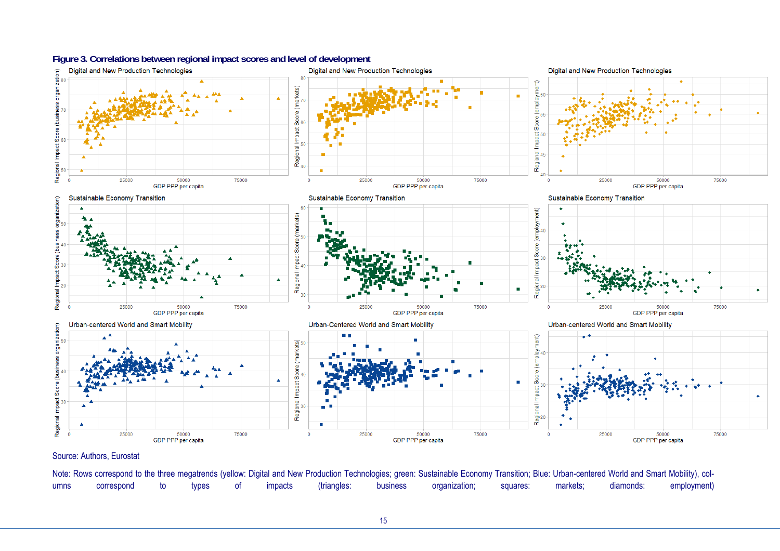

#### Source: Authors, Eurostat

Note: Rows correspond to the three megatrends (yellow: Digital and New Production Technologies; green: Sustainable Economy Transition; Blue: Urban-centered World and Smart Mobility), columns correspond to types of impacts (triangles: business organization; squares: markets; diamonds: employment)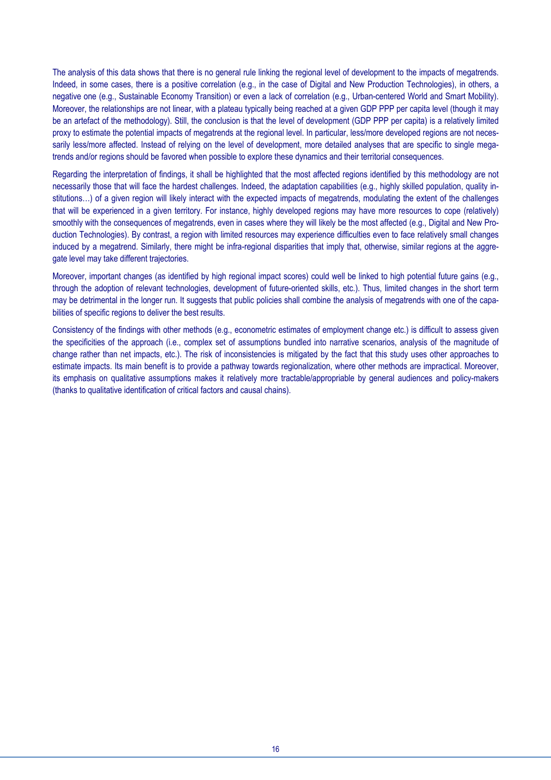The analysis of this data shows that there is no general rule linking the regional level of development to the impacts of megatrends. Indeed, in some cases, there is a positive correlation (e.g., in the case of Digital and New Production Technologies), in others, a negative one (e.g., Sustainable Economy Transition) or even a lack of correlation (e.g., Urban-centered World and Smart Mobility). Moreover, the relationships are not linear, with a plateau typically being reached at a given GDP PPP per capita level (though it may be an artefact of the methodology). Still, the conclusion is that the level of development (GDP PPP per capita) is a relatively limited proxy to estimate the potential impacts of megatrends at the regional level. In particular, less/more developed regions are not necessarily less/more affected. Instead of relying on the level of development, more detailed analyses that are specific to single megatrends and/or regions should be favored when possible to explore these dynamics and their territorial consequences.

Regarding the interpretation of findings, it shall be highlighted that the most affected regions identified by this methodology are not necessarily those that will face the hardest challenges. Indeed, the adaptation capabilities (e.g., highly skilled population, quality institutions...) of a given region will likely interact with the expected impacts of megatrends, modulating the extent of the challenges that will be experienced in a given territory. For instance, highly developed regions may have more resources to cope (relatively) smoothly with the consequences of megatrends, even in cases where they will likely be the most affected (e.g., Digital and New Production Technologies). By contrast, a region with limited resources may experience difficulties even to face relatively small changes induced by a megatrend. Similarly, there might be infra-regional disparities that imply that, otherwise, similar regions at the aggregate level may take different trajectories.

Moreover, important changes (as identified by high regional impact scores) could well be linked to high potential future gains (e.g., through the adoption of relevant technologies, development of future-oriented skills, etc.). Thus, limited changes in the short term may be detrimental in the longer run. It suggests that public policies shall combine the analysis of megatrends with one of the capabilities of specific regions to deliver the best results.

Consistency of the findings with other methods (e.g., econometric estimates of employment change etc.) is difficult to assess given the specificities of the approach (i.e., complex set of assumptions bundled into narrative scenarios, analysis of the magnitude of change rather than net impacts, etc.). The risk of inconsistencies is mitigated by the fact that this study uses other approaches to estimate impacts. Its main benefit is to provide a pathway towards regionalization, where other methods are impractical. Moreover, its emphasis on qualitative assumptions makes it relatively more tractable/appropriable by general audiences and policy-makers (thanks to qualitative identification of critical factors and causal chains).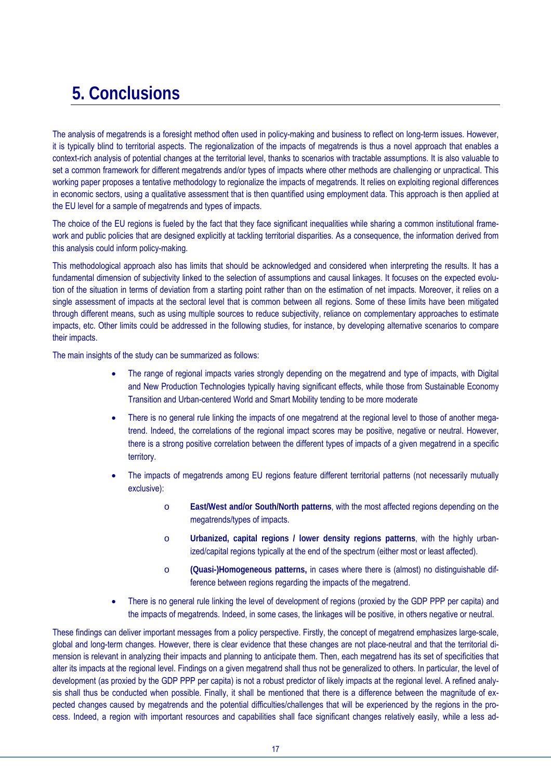# **5. Conclusions**

The analysis of megatrends is a foresight method often used in policy-making and business to reflect on long-term issues. However, it is typically blind to territorial aspects. The regionalization of the impacts of megatrends is thus a novel approach that enables a context-rich analysis of potential changes at the territorial level, thanks to scenarios with tractable assumptions. It is also valuable to set a common framework for different megatrends and/or types of impacts where other methods are challenging or unpractical. This working paper proposes a tentative methodology to regionalize the impacts of megatrends. It relies on exploiting regional differences in economic sectors, using a qualitative assessment that is then quantified using employment data. This approach is then applied at the EU level for a sample of megatrends and types of impacts.

The choice of the EU regions is fueled by the fact that they face significant inequalities while sharing a common institutional framework and public policies that are designed explicitly at tackling territorial disparities. As a consequence, the information derived from this analysis could inform policy-making.

This methodological approach also has limits that should be acknowledged and considered when interpreting the results. It has a fundamental dimension of subjectivity linked to the selection of assumptions and causal linkages. It focuses on the expected evolution of the situation in terms of deviation from a starting point rather than on the estimation of net impacts. Moreover, it relies on a single assessment of impacts at the sectoral level that is common between all regions. Some of these limits have been mitigated through different means, such as using multiple sources to reduce subjectivity, reliance on complementary approaches to estimate impacts, etc. Other limits could be addressed in the following studies, for instance, by developing alternative scenarios to compare their impacts.

The main insights of the study can be summarized as follows:

- The range of regional impacts varies strongly depending on the megatrend and type of impacts, with Digital and New Production Technologies typically having significant effects, while those from Sustainable Economy Transition and Urban-centered World and Smart Mobility tending to be more moderate
- There is no general rule linking the impacts of one megatrend at the regional level to those of another megatrend. Indeed, the correlations of the regional impact scores may be positive, negative or neutral. However, there is a strong positive correlation between the different types of impacts of a given megatrend in a specific territory.
- The impacts of megatrends among EU regions feature different territorial patterns (not necessarily mutually exclusive):
	- o **East/West and/or South/North patterns**, with the most affected regions depending on the megatrends/types of impacts.
	- o **Urbanized, capital regions / lower density regions patterns**, with the highly urbanized/capital regions typically at the end of the spectrum (either most or least affected).
	- o **(Quasi-)Homogeneous patterns,** in cases where there is (almost) no distinguishable difference between regions regarding the impacts of the megatrend.
- There is no general rule linking the level of development of regions (proxied by the GDP PPP per capita) and the impacts of megatrends. Indeed, in some cases, the linkages will be positive, in others negative or neutral.

These findings can deliver important messages from a policy perspective. Firstly, the concept of megatrend emphasizes large-scale, global and long-term changes. However, there is clear evidence that these changes are not place-neutral and that the territorial dimension is relevant in analyzing their impacts and planning to anticipate them. Then, each megatrend has its set of specificities that alter its impacts at the regional level. Findings on a given megatrend shall thus not be generalized to others. In particular, the level of development (as proxied by the GDP PPP per capita) is not a robust predictor of likely impacts at the regional level. A refined analysis shall thus be conducted when possible. Finally, it shall be mentioned that there is a difference between the magnitude of expected changes caused by megatrends and the potential difficulties/challenges that will be experienced by the regions in the process. Indeed, a region with important resources and capabilities shall face significant changes relatively easily, while a less ad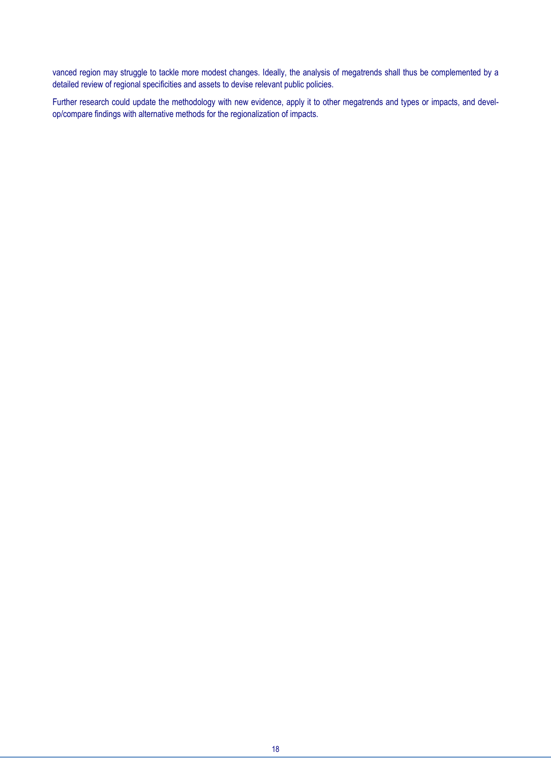vanced region may struggle to tackle more modest changes. Ideally, the analysis of megatrends shall thus be complemented by a detailed review of regional specificities and assets to devise relevant public policies.

Further research could update the methodology with new evidence, apply it to other megatrends and types or impacts, and develop/compare findings with alternative methods for the regionalization of impacts.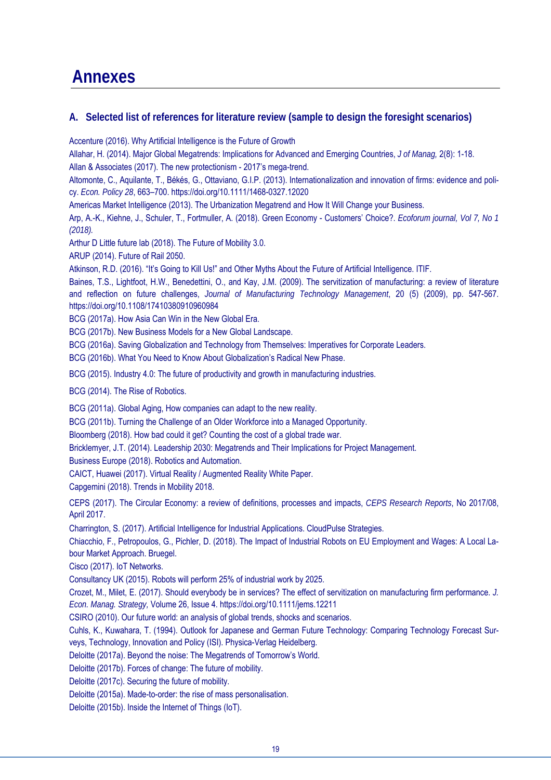## **Annexes**

### **A. Selected list of references for literature review (sample to design the foresight scenarios)**

Accenture (2016). Why Artificial Intelligence is the Future of Growth

Allahar, H. (2014). Major Global Megatrends: Implications for Advanced and Emerging Countries, *J of Manag,* 2(8): 1-18.

Allan & Associates (2017). The new protectionism - 2017's mega-trend.

Altomonte, C., Aquilante, T., Békés, G., Ottaviano, G.I.P. (2013). Internationalization and innovation of firms: evidence and policy. *Econ. Policy 28*, 663–700. https://doi.org/10.1111/1468-0327.12020

Americas Market Intelligence (2013). The Urbanization Megatrend and How It Will Change your Business.

Arp, A.-K., Kiehne, J., Schuler, T., Fortmuller, A. (2018). Green Economy - Customers' Choice?. *Ecoforum journal, Vol 7, No 1 (2018).* 

Arthur D Little future lab (2018). The Future of Mobility 3.0.

ARUP (2014). Future of Rail 2050.

Atkinson, R.D. (2016). "It's Going to Kill Us!" and Other Myths About the Future of Artificial Intelligence. ITIF.

Baines, T.S., Lightfoot, H.W., Benedettini, O., and Kay, J.M. (2009). The servitization of manufacturing: a review of literature and reflection on future challenges, *Journal of Manufacturing Technology Management*, 20 (5) (2009), pp. 547-567. https://doi.org/10.1108/17410380910960984

BCG (2017a). How Asia Can Win in the New Global Era.

BCG (2017b). New Business Models for a New Global Landscape.

BCG (2016a). Saving Globalization and Technology from Themselves: Imperatives for Corporate Leaders.

BCG (2016b). What You Need to Know About Globalization's Radical New Phase.

BCG (2015). Industry 4.0: The future of productivity and growth in manufacturing industries.

BCG (2014). The Rise of Robotics.

BCG (2011a). Global Aging, How companies can adapt to the new reality.

BCG (2011b). Turning the Challenge of an Older Workforce into a Managed Opportunity.

Bloomberg (2018). How bad could it get? Counting the cost of a global trade war.

Bricklemyer, J.T. (2014). Leadership 2030: Megatrends and Their Implications for Project Management.

Business Europe (2018). Robotics and Automation.

CAICT, Huawei (2017). Virtual Reality / Augmented Reality White Paper.

Capgemini (2018). Trends in Mobility 2018.

CEPS (2017). The Circular Economy: a review of definitions, processes and impacts, *CEPS Research Reports*, No 2017/08, April 2017.

Charrington, S. (2017). Artificial Intelligence for Industrial Applications. CloudPulse Strategies.

Chiacchio, F., Petropoulos, G., Pichler, D. (2018). The Impact of Industrial Robots on EU Employment and Wages: A Local Labour Market Approach. Bruegel.

Cisco (2017). IoT Networks.

Consultancy UK (2015). Robots will perform 25% of industrial work by 2025.

Crozet, M., Milet, E. (2017). Should everybody be in services? The effect of servitization on manufacturing firm performance. *J. Econ. Manag. Strategy,* Volume 26, Issue 4. https://doi.org/10.1111/jems.12211

CSIRO (2010). Our future world: an analysis of global trends, shocks and scenarios.

Cuhls, K., Kuwahara, T. (1994). Outlook for Japanese and German Future Technology: Comparing Technology Forecast Surveys, Technology, Innovation and Policy (ISI). Physica-Verlag Heidelberg.

Deloitte (2017a). Beyond the noise: The Megatrends of Tomorrow's World.

Deloitte (2017b). Forces of change: The future of mobility.

Deloitte (2017c). Securing the future of mobility.

Deloitte (2015a). Made-to-order: the rise of mass personalisation.

Deloitte (2015b). Inside the Internet of Things (IoT).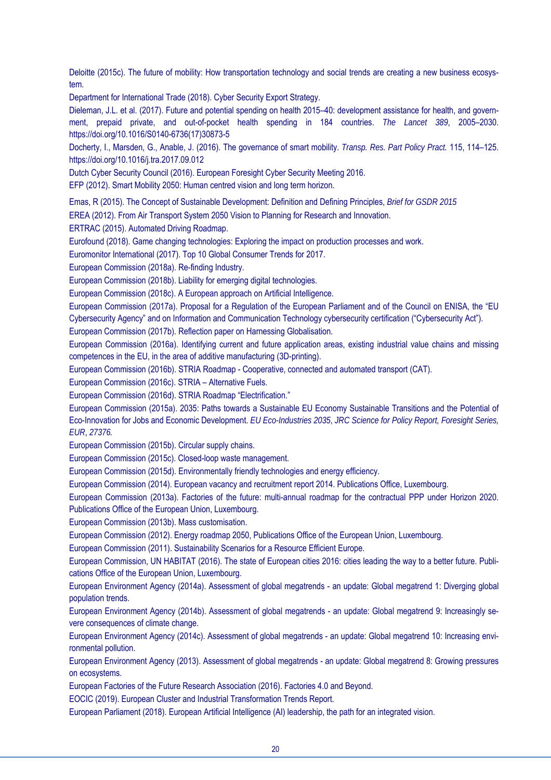Deloitte (2015c). The future of mobility: How transportation technology and social trends are creating a new business ecosystem.

Department for International Trade (2018). Cyber Security Export Strategy.

Dieleman, J.L. et al. (2017). Future and potential spending on health 2015–40: development assistance for health, and government, prepaid private, and out-of-pocket health spending in 184 countries. *The Lancet 389*, 2005–2030. https://doi.org/10.1016/S0140-6736(17)30873-5

Docherty, I., Marsden, G., Anable, J. (2016). The governance of smart mobility. *Transp. Res. Part Policy Pract.* 115, 114–125. https://doi.org/10.1016/j.tra.2017.09.012

Dutch Cyber Security Council (2016). European Foresight Cyber Security Meeting 2016.

EFP (2012). Smart Mobility 2050: Human centred vision and long term horizon.

Emas, R (2015). The Concept of Sustainable Development: Definition and Defining Principles, *Brief for GSDR 2015*

EREA (2012). From Air Transport System 2050 Vision to Planning for Research and Innovation.

ERTRAC (2015). Automated Driving Roadmap.

Eurofound (2018). Game changing technologies: Exploring the impact on production processes and work.

Euromonitor International (2017). Top 10 Global Consumer Trends for 2017.

European Commission (2018a). Re-finding Industry.

European Commission (2018b). Liability for emerging digital technologies.

European Commission (2018c). A European approach on Artificial Intelligence.

European Commission (2017a). Proposal for a Regulation of the European Parliament and of the Council on ENISA, the "EU Cybersecurity Agency" and on Information and Communication Technology cybersecurity certification ("Cybersecurity Act").

European Commission (2017b). Reflection paper on Harnessing Globalisation.

European Commission (2016a). Identifying current and future application areas, existing industrial value chains and missing competences in the EU, in the area of additive manufacturing (3D-printing).

European Commission (2016b). STRIA Roadmap - Cooperative, connected and automated transport (CAT).

European Commission (2016c). STRIA – Alternative Fuels.

European Commission (2016d). STRIA Roadmap "Electrification."

European Commission (2015a). 2035: Paths towards a Sustainable EU Economy Sustainable Transitions and the Potential of Eco-Innovation for Jobs and Economic Development. *EU Eco-Industries 2035*, *JRC Science for Policy Report, Foresight Series, EUR*, *27376.*

European Commission (2015b). Circular supply chains.

European Commission (2015c). Closed-loop waste management.

European Commission (2015d). Environmentally friendly technologies and energy efficiency.

European Commission (2014). European vacancy and recruitment report 2014. Publications Office, Luxembourg.

European Commission (2013a). Factories of the future: multi-annual roadmap for the contractual PPP under Horizon 2020.

Publications Office of the European Union, Luxembourg.

European Commission (2013b). Mass customisation.

European Commission (2012). Energy roadmap 2050, Publications Office of the European Union, Luxembourg.

European Commission (2011). Sustainability Scenarios for a Resource Efficient Europe.

European Commission, UN HABITAT (2016). The state of European cities 2016: cities leading the way to a better future. Publications Office of the European Union, Luxembourg.

European Environment Agency (2014a). Assessment of global megatrends - an update: Global megatrend 1: Diverging global population trends.

European Environment Agency (2014b). Assessment of global megatrends - an update: Global megatrend 9: Increasingly severe consequences of climate change.

European Environment Agency (2014c). Assessment of global megatrends - an update: Global megatrend 10: Increasing environmental pollution.

European Environment Agency (2013). Assessment of global megatrends - an update: Global megatrend 8: Growing pressures on ecosystems.

European Factories of the Future Research Association (2016). Factories 4.0 and Beyond.

EOCIC (2019). European Cluster and Industrial Transformation Trends Report.

European Parliament (2018). European Artificial Intelligence (AI) leadership, the path for an integrated vision.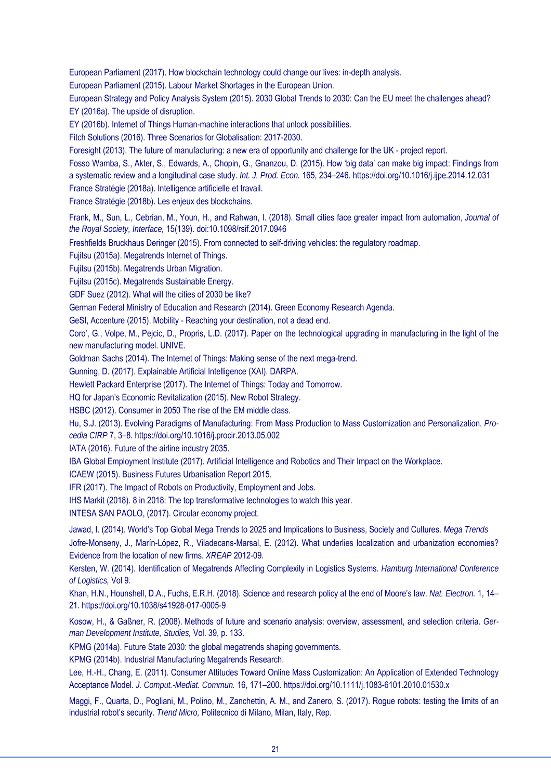European Parliament (2017). How blockchain technology could change our lives: in-depth analysis.

European Parliament (2015). Labour Market Shortages in the European Union.

European Strategy and Policy Analysis System (2015). 2030 Global Trends to 2030: Can the EU meet the challenges ahead? EY (2016a). The upside of disruption.

EY (2016b). Internet of Things Human-machine interactions that unlock possibilities.

Fitch Solutions (2016). Three Scenarios for Globalisation: 2017-2030.

Foresight (2013). The future of manufacturing: a new era of opportunity and challenge for the UK - project report.

Fosso Wamba, S., Akter, S., Edwards, A., Chopin, G., Gnanzou, D. (2015). How 'big data' can make big impact: Findings from a systematic review and a longitudinal case study. *Int. J. Prod. Econ.* 165, 234–246. https://doi.org/10.1016/j.ijpe.2014.12.031

France Stratégie (2018a). Intelligence artificielle et travail.

France Stratégie (2018b). Les enjeux des blockchains.

Frank, M., Sun, L., Cebrian, M., Youn, H., and Rahwan, I. (2018). Small cities face greater impact from automation, *Journal of the Royal Society, Interface,* 15(139). doi:10.1098/rsif.2017.0946

Freshfields Bruckhaus Deringer (2015). From connected to self-driving vehicles: the regulatory roadmap.

Fujitsu (2015a). Megatrends Internet of Things.

Fujitsu (2015b). Megatrends Urban Migration.

Fujitsu (2015c). Megatrends Sustainable Energy.

GDF Suez (2012). What will the cities of 2030 be like?

German Federal Ministry of Education and Research (2014). Green Economy Research Agenda.

GeSI, Accenture (2015). Mobility - Reaching your destination, not a dead end.

Coro', G., Volpe, M., Pejcic, D., Propris, L.D. (2017). Paper on the technological upgrading in manufacturing in the light of the new manufacturing model. UNIVE.

Goldman Sachs (2014). The Internet of Things: Making sense of the next mega-trend.

Gunning, D. (2017). Explainable Artificial Intelligence (XAI). DARPA.

Hewlett Packard Enterprise (2017). The Internet of Things: Today and Tomorrow.

HQ for Japan's Economic Revitalization (2015). New Robot Strategy.

HSBC (2012). Consumer in 2050 The rise of the EM middle class.

Hu, S.J. (2013). Evolving Paradigms of Manufacturing: From Mass Production to Mass Customization and Personalization. *Pro-*

*cedia CIRP* 7, 3–8*.* https://doi.org/10.1016/j.procir.2013.05.002

IATA (2016). Future of the airline industry 2035.

IBA Global Employment Institute (2017). Artificial Intelligence and Robotics and Their Impact on the Workplace.

ICAEW (2015). Business Futures Urbanisation Report 2015.

IFR (2017). The Impact of Robots on Productivity, Employment and Jobs.

IHS Markit (2018). 8 in 2018: The top transformative technologies to watch this year.

INTESA SAN PAOLO, (2017). Circular economy project.

Jawad, I. (2014). World's Top Global Mega Trends to 2025 and Implications to Business, Society and Cultures. *Mega Trends*

Jofre-Monseny, J., Marín-López, R., Viladecans-Marsal, E. (2012). What underlies localization and urbanization economies? Evidence from the location of new firms. *XREAP* 2012-09*.*

Kersten, W. (2014). Identification of Megatrends Affecting Complexity in Logistics Systems. *Hamburg International Conference of Logistics,* Vol 9*.*

Khan, H.N., Hounshell, D.A., Fuchs, E.R.H. (2018). Science and research policy at the end of Moore's law. *Nat. Electron.* 1, 14– 21*.* https://doi.org/10.1038/s41928-017-0005-9

Kosow, H., & Gaßner, R. (2008). Methods of future and scenario analysis: overview, assessment, and selection criteria. *German Development Institute, Studies,* Vol. 39, p. 133.

KPMG (2014a). Future State 2030: the global megatrends shaping governments.

KPMG (2014b). Industrial Manufacturing Megatrends Research.

Lee, H.-H., Chang, E. (2011). Consumer Attitudes Toward Online Mass Customization: An Application of Extended Technology Acceptance Model. *J. Comput.-Mediat. Commun.* 16, 171–200. https://doi.org/10.1111/j.1083-6101.2010.01530.x

Maggi, F., Quarta, D., Pogliani, M., Polino, M., Zanchettin, A. M., and Zanero, S. (2017). Rogue robots: testing the limits of an industrial robot's security. *Trend Micro,* Politecnico di Milano, Milan, Italy, Rep.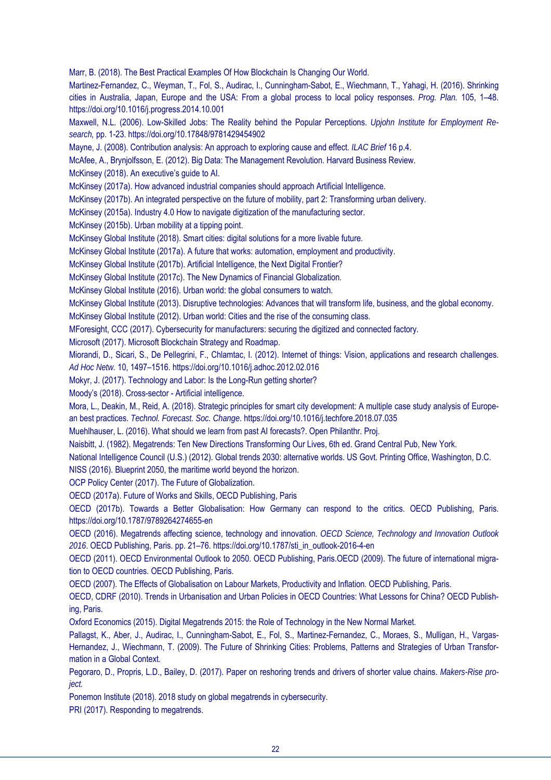Marr, B. (2018). The Best Practical Examples Of How Blockchain Is Changing Our World.

Martinez-Fernandez, C., Weyman, T., Fol, S., Audirac, I., Cunningham-Sabot, E., Wiechmann, T., Yahagi, H. (2016). Shrinking cities in Australia, Japan, Europe and the USA: From a global process to local policy responses. *Prog. Plan.* 105, 1–48. https://doi.org/10.1016/j.progress.2014.10.001

Maxwell, N.L. (2006). Low-Skilled Jobs: The Reality behind the Popular Perceptions. *Upjohn Institute for Employment Research,* pp. 1-23. https://doi.org/10.17848/9781429454902

Mayne, J. (2008). Contribution analysis: An approach to exploring cause and effect. *ILAC Brief* 16 p.4.

McAfee, A., Brynjolfsson, E. (2012). Big Data: The Management Revolution. Harvard Business Review.

McKinsey (2018). An executive's guide to AI.

McKinsey (2017a). How advanced industrial companies should approach Artificial Intelligence.

McKinsey (2017b). An integrated perspective on the future of mobility, part 2: Transforming urban delivery.

McKinsey (2015a). Industry 4.0 How to navigate digitization of the manufacturing sector.

McKinsey (2015b). Urban mobility at a tipping point.

McKinsey Global Institute (2018). Smart cities: digital solutions for a more livable future.

McKinsey Global Institute (2017a). A future that works: automation, employment and productivity.

McKinsey Global Institute (2017b). Artificial Intelligence, the Next Digital Frontier?

McKinsey Global Institute (2017c). The New Dynamics of Financial Globalization.

McKinsey Global Institute (2016). Urban world: the global consumers to watch.

McKinsey Global Institute (2013). Disruptive technologies: Advances that will transform life, business, and the global economy.

McKinsey Global Institute (2012). Urban world: Cities and the rise of the consuming class.

MForesight, CCC (2017). Cybersecurity for manufacturers: securing the digitized and connected factory.

Microsoft (2017). Microsoft Blockchain Strategy and Roadmap.

Miorandi, D., Sicari, S., De Pellegrini, F., Chlamtac, I. (2012). Internet of things: Vision, applications and research challenges. *Ad Hoc Netw.* 10, 1497–1516. https://doi.org/10.1016/j.adhoc.2012.02.016

Mokyr, J. (2017). Technology and Labor: Is the Long-Run getting shorter?

Moody's (2018). Cross-sector - Artificial intelligence.

Mora, L., Deakin, M., Reid, A. (2018). Strategic principles for smart city development: A multiple case study analysis of European best practices. *Technol. Forecast. Soc. Change*. https://doi.org/10.1016/j.techfore.2018.07.035

Muehlhauser, L. (2016). What should we learn from past AI forecasts?. Open Philanthr. Proj.

Naisbitt, J. (1982). Megatrends: Ten New Directions Transforming Our Lives, 6th ed. Grand Central Pub, New York.

National Intelligence Council (U.S.) (2012). Global trends 2030: alternative worlds. US Govt. Printing Office, Washington, D.C.

NISS (2016). Blueprint 2050, the maritime world beyond the horizon.

OCP Policy Center (2017). The Future of Globalization.

OECD (2017a). Future of Works and Skills, OECD Publishing, Paris

OECD (2017b). Towards a Better Globalisation: How Germany can respond to the critics. OECD Publishing, Paris. https://doi.org/10.1787/9789264274655-en

OECD (2016). Megatrends affecting science, technology and innovation. *OECD Science, Technology and Innovation Outlook 2016*. OECD Publishing, Paris. pp. 21–76. https://doi.org/10.1787/sti\_in\_outlook-2016-4-en

OECD (2011). OECD Environmental Outlook to 2050. OECD Publishing, Paris.OECD (2009). The future of international migration to OECD countries. OECD Publishing, Paris.

OECD (2007). The Effects of Globalisation on Labour Markets, Productivity and Inflation. OECD Publishing, Paris.

OECD, CDRF (2010). Trends in Urbanisation and Urban Policies in OECD Countries: What Lessons for China? OECD Publishing, Paris.

Oxford Economics (2015). Digital Megatrends 2015: the Role of Technology in the New Normal Market.

Pallagst, K., Aber, J., Audirac, I., Cunningham-Sabot, E., Fol, S., Martinez-Fernandez, C., Moraes, S., Mulligan, H., Vargas-Hernandez, J., Wiechmann, T. (2009). The Future of Shrinking Cities: Problems, Patterns and Strategies of Urban Transformation in a Global Context.

Pegoraro, D., Propris, L.D., Bailey, D. (2017). Paper on reshoring trends and drivers of shorter value chains. *Makers-Rise project.* 

Ponemon Institute (2018). 2018 study on global megatrends in cybersecurity.

PRI (2017). Responding to megatrends.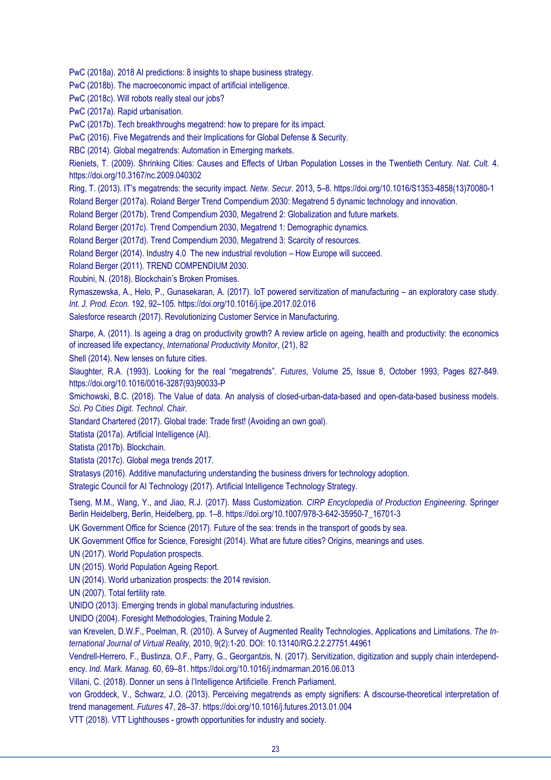PwC (2018a). 2018 AI predictions: 8 insights to shape business strategy.

PwC (2018b). The macroeconomic impact of artificial intelligence.

PwC (2018c). Will robots really steal our jobs?

PwC (2017a). Rapid urbanisation.

PwC (2017b). Tech breakthroughs megatrend: how to prepare for its impact.

PwC (2016). Five Megatrends and their Implications for Global Defense & Security.

RBC (2014). Global megatrends: Automation in Emerging markets.

Rieniets, T. (2009). Shrinking Cities: Causes and Effects of Urban Population Losses in the Twentieth Century*. Nat. Cult.* 4. https://doi.org/10.3167/nc.2009.040302

Ring, T. (2013). IT's megatrends: the security impact. *Netw. Secur.* 2013, 5–8. https://doi.org/10.1016/S1353-4858(13)70080-1

Roland Berger (2017a). Roland Berger Trend Compendium 2030: Megatrend 5 dynamic technology and innovation.

Roland Berger (2017b). Trend Compendium 2030, Megatrend 2: Globalization and future markets.

Roland Berger (2017c). Trend Compendium 2030, Megatrend 1: Demographic dynamics.

Roland Berger (2017d). Trend Compendium 2030, Megatrend 3: Scarcity of resources.

Roland Berger (2014). Industry 4.0 The new industrial revolution – How Europe will succeed.

Roland Berger (2011). TREND COMPENDIUM 2030.

Roubini, N. (2018). Blockchain's Broken Promises.

Rymaszewska, A., Helo, P., Gunasekaran, A. (2017). IoT powered servitization of manufacturing – an exploratory case study. *Int. J. Prod. Econ.* 192, 92–105*.* https://doi.org/10.1016/j.ijpe.2017.02.016

Salesforce research (2017). Revolutionizing Customer Service in Manufacturing.

Sharpe, A. (2011). Is ageing a drag on productivity growth? A review article on ageing, health and productivity: the economics of increased life expectancy, *International Productivity Monitor*, (21), 82

Shell (2014). New lenses on future cities.

Slaughter, R.A. (1993). Looking for the real "megatrends". *Futures,* Volume 25, Issue 8, October 1993, Pages 827-849. https://doi.org/10.1016/0016-3287(93)90033-P

Smichowski, B.C. (2018). The Value of data. An analysis of closed-urban-data-based and open-data-based business models. *Sci. Po Cities Digit. Technol. Chair.* 

Standard Chartered (2017). Global trade: Trade first! (Avoiding an own goal).

Statista (2017a). Artificial Intelligence (AI).

Statista (2017b). Blockchain.

Statista (2017c). Global mega trends 2017.

Stratasys (2016). Additive manufacturing understanding the business drivers for technology adoption.

Strategic Council for AI Technology (2017). Artificial Intelligence Technology Strategy.

Tseng, M.M., Wang, Y., and Jiao, R.J. (2017). Mass Customization. *CIRP Encyclopedia of Production Engineering*. Springer Berlin Heidelberg, Berlin, Heidelberg, pp. 1–8. https://doi.org/10.1007/978-3-642-35950-7\_16701-3

UK Government Office for Science (2017). Future of the sea: trends in the transport of goods by sea.

UK Government Office for Science, Foresight (2014). What are future cities? Origins, meanings and uses.

UN (2017). World Population prospects.

UN (2015). World Population Ageing Report.

UN (2014). World urbanization prospects: the 2014 revision.

UN (2007). Total fertility rate.

UNIDO (2013). Emerging trends in global manufacturing industries.

UNIDO (2004). Foresight Methodologies, Training Module 2.

van Krevelen, D.W.F., Poelman, R. (2010). A Survey of Augmented Reality Technologies, Applications and Limitations. *The International Journal of Virtual Reality,* 2010, 9(2):1-20. DOI: 10.13140/RG.2.2.27751.44961

Vendrell-Herrero, F., Bustinza, O.F., Parry, G., Georgantzis, N. (2017). Servitization, digitization and supply chain interdependency. *Ind. Mark. Manag.* 60, 69–81. https://doi.org/10.1016/j.indmarman.2016.06.013

Villani, C. (2018). Donner un sens à l'Intelligence Artificielle. French Parliament.

von Groddeck, V., Schwarz, J.O. (2013). Perceiving megatrends as empty signifiers: A discourse-theoretical interpretation of trend management. *Futures* 47, 28–37. https://doi.org/10.1016/j.futures.2013.01.004

VTT (2018). VTT Lighthouses - growth opportunities for industry and society.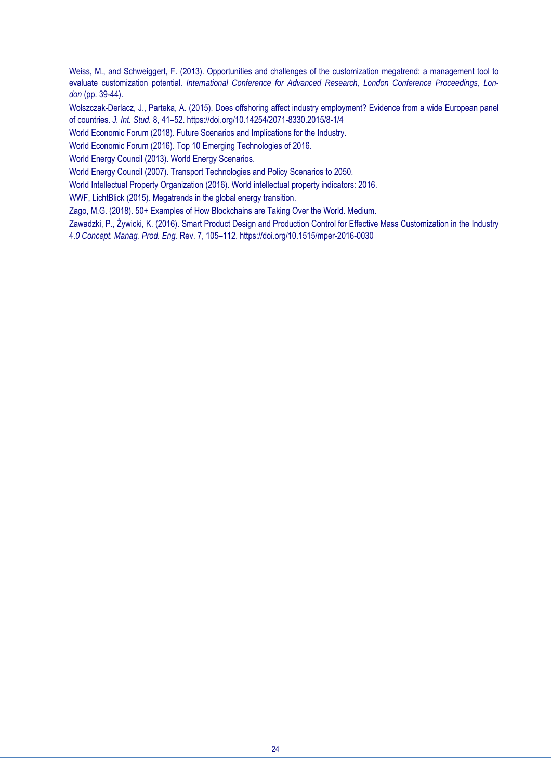Weiss, M., and Schweiggert, F. (2013). Opportunities and challenges of the customization megatrend: a management tool to evaluate customization potential. *International Conference for Advanced Research, London Conference Proceedings, London* (pp. 39-44).

Wolszczak-Derlacz, J., Parteka, A. (2015). Does offshoring affect industry employment? Evidence from a wide European panel of countries. *J. Int. Stud.* 8, 41–52. https://doi.org/10.14254/2071-8330.2015/8-1/4

World Economic Forum (2018). Future Scenarios and Implications for the Industry.

World Economic Forum (2016). Top 10 Emerging Technologies of 2016.

World Energy Council (2013). World Energy Scenarios.

World Energy Council (2007). Transport Technologies and Policy Scenarios to 2050.

World Intellectual Property Organization (2016). World intellectual property indicators: 2016.

WWF, LichtBlick (2015). Megatrends in the global energy transition.

Zago, M.G. (2018). 50+ Examples of How Blockchains are Taking Over the World. Medium.

Zawadzki, P., Żywicki, K. (2016). Smart Product Design and Production Control for Effective Mass Customization in the Industry 4.*0 Concept. Manag. Prod. Eng.* Rev. 7, 105–112. https://doi.org/10.1515/mper-2016-0030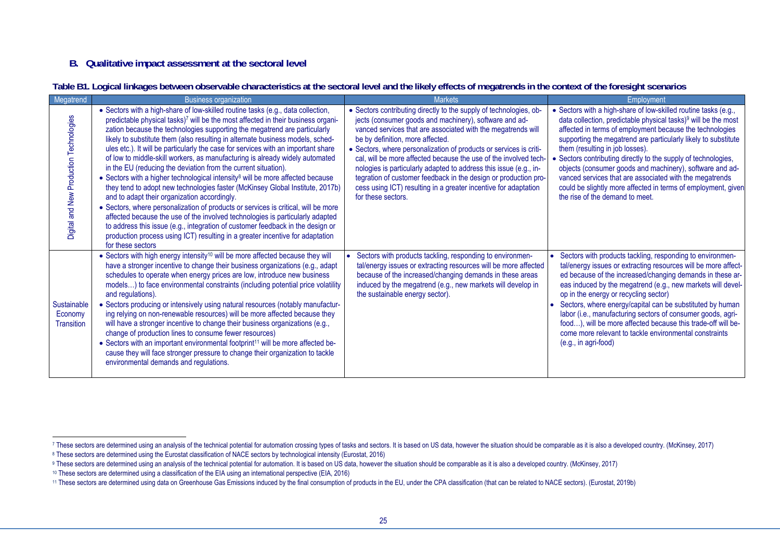### **B. Qualitative impact assessment at the sectoral level**

|  | Table B1. Logical linkages between observable characteristics at the sectoral level and the likely effects of megatrends in the context of the foresight scenarios |  |  |
|--|--------------------------------------------------------------------------------------------------------------------------------------------------------------------|--|--|
|  |                                                                                                                                                                    |  |  |

| Megatrend                                   | <b>Business organization</b>                                                                                                                                                                                                                                                                                                                                                                                                                                                                                                                                                                                                                                                                                                                                                                                                                                                                                                                                                                                                                                                                                                                                             | <b>Markets</b>                                                                                                                                                                                                                                                                                                                                                                                                                                                                                                                                                                                              | Employment                                                                                                                                                                                                                                                                                                                                                                                                                                                                                                                                                                                                  |
|---------------------------------------------|--------------------------------------------------------------------------------------------------------------------------------------------------------------------------------------------------------------------------------------------------------------------------------------------------------------------------------------------------------------------------------------------------------------------------------------------------------------------------------------------------------------------------------------------------------------------------------------------------------------------------------------------------------------------------------------------------------------------------------------------------------------------------------------------------------------------------------------------------------------------------------------------------------------------------------------------------------------------------------------------------------------------------------------------------------------------------------------------------------------------------------------------------------------------------|-------------------------------------------------------------------------------------------------------------------------------------------------------------------------------------------------------------------------------------------------------------------------------------------------------------------------------------------------------------------------------------------------------------------------------------------------------------------------------------------------------------------------------------------------------------------------------------------------------------|-------------------------------------------------------------------------------------------------------------------------------------------------------------------------------------------------------------------------------------------------------------------------------------------------------------------------------------------------------------------------------------------------------------------------------------------------------------------------------------------------------------------------------------------------------------------------------------------------------------|
| Digital and New Production Technologies     | • Sectors with a high-share of low-skilled routine tasks (e.g., data collection,<br>predictable physical tasks)7 will be the most affected in their business organi-<br>zation because the technologies supporting the megatrend are particularly<br>likely to substitute them (also resulting in alternate business models, sched-<br>ules etc.). It will be particularly the case for services with an important share<br>of low to middle-skill workers, as manufacturing is already widely automated<br>in the EU (reducing the deviation from the current situation).<br>• Sectors with a higher technological intensity <sup>8</sup> will be more affected because<br>they tend to adopt new technologies faster (McKinsey Global Institute, 2017b)<br>and to adapt their organization accordingly.<br>• Sectors, where personalization of products or services is critical, will be more<br>affected because the use of the involved technologies is particularly adapted<br>to address this issue (e.g., integration of customer feedback in the design or<br>production process using ICT) resulting in a greater incentive for adaptation<br>for these sectors | • Sectors contributing directly to the supply of technologies, ob-<br>jects (consumer goods and machinery), software and ad-<br>vanced services that are associated with the megatrends will<br>be by definition, more affected.<br>• Sectors, where personalization of products or services is criti-<br>cal, will be more affected because the use of the involved tech-<br>nologies is particularly adapted to address this issue (e.g., in-<br>tegration of customer feedback in the design or production pro-<br>cess using ICT) resulting in a greater incentive for adaptation<br>for these sectors. | • Sectors with a high-share of low-skilled routine tasks (e.g.,<br>data collection, predictable physical tasks) <sup>9</sup> will be the most<br>affected in terms of employment because the technologies<br>supporting the megatrend are particularly likely to substitute<br>them (resulting in job losses).<br>• Sectors contributing directly to the supply of technologies,<br>objects (consumer goods and machinery), software and ad-<br>vanced services that are associated with the megatrends<br>could be slightly more affected in terms of employment, given<br>the rise of the demand to meet. |
| Sustainable<br>Economy<br><b>Transition</b> | • Sectors with high energy intensity <sup>10</sup> will be more affected because they will<br>have a stronger incentive to change their business organizations (e.g., adapt<br>schedules to operate when energy prices are low, introduce new business<br>models) to face environmental constraints (including potential price volatility<br>and regulations).<br>• Sectors producing or intensively using natural resources (notably manufactur-<br>ing relying on non-renewable resources) will be more affected because they<br>will have a stronger incentive to change their business organizations (e.g.,<br>change of production lines to consume fewer resources)<br>• Sectors with an important environmental footprint <sup>11</sup> will be more affected be-<br>cause they will face stronger pressure to change their organization to tackle<br>environmental demands and regulations.                                                                                                                                                                                                                                                                      | Sectors with products tackling, responding to environmen-<br>tal/energy issues or extracting resources will be more affected<br>because of the increased/changing demands in these areas<br>induced by the megatrend (e.g., new markets will develop in<br>the sustainable energy sector).                                                                                                                                                                                                                                                                                                                  | Sectors with products tackling, responding to environmen-<br>tal/energy issues or extracting resources will be more affect-<br>ed because of the increased/changing demands in these ar-<br>eas induced by the megatrend (e.g., new markets will devel-<br>op in the energy or recycling sector)<br>Sectors, where energy/capital can be substituted by human<br>labor (i.e., manufacturing sectors of consumer goods, agri-<br>food), will be more affected because this trade-off will be-<br>come more relevant to tackle environmental constraints<br>$(e.g., in agri-food)$                            |

<sup>7</sup> These sectors are determined using an analysis of the technical potential for automation crossing types of tasks and sectors. It is based on US data, however the situation should be comparable as it is also a developed c

<sup>&</sup>lt;sup>8</sup> These sectors are determined using the Eurostat classification of NACE sectors by technological intensity (Eurostat, 2016)

<sup>&</sup>lt;sup>9</sup> These sectors are determined using an analysis of the technical potential for automation. It is based on US data, however the situation should be comparable as it is also a developed country. (McKinsey, 2017)

<sup>10</sup> These sectors are determined using a classification of the EIA using an international perspective (EIA, 2016)

<sup>11</sup> These sectors are determined using data on Greenhouse Gas Emissions induced by the final consumption of products in the EU, under the CPA classification (that can be related to NACE sectors). (Eurostat, 2019b)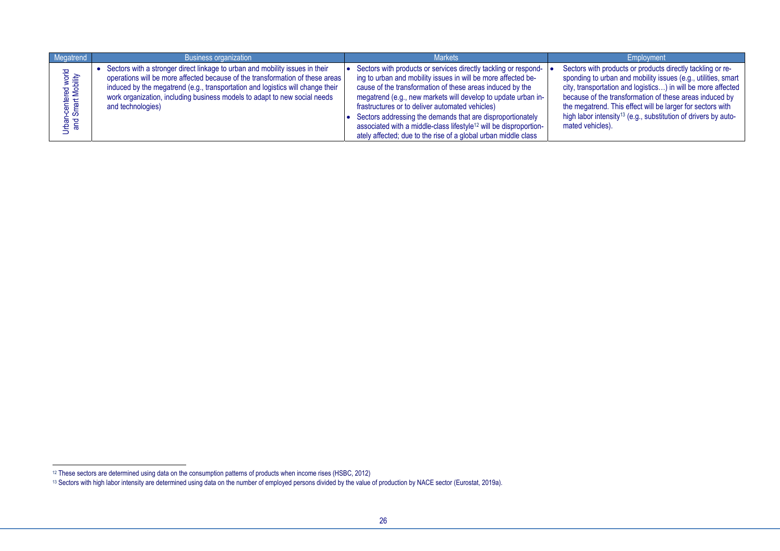| Megatrend                                 | <b>Business organization</b>                                                                                                                                                                                                                                                                                                                      | <b>Markets</b>                                                                                                                                                                                                                                                                                                                                                                                                                                                                                                                     | Employment                                                                                                                                                                                                                                                                                                                                                                                                             |
|-------------------------------------------|---------------------------------------------------------------------------------------------------------------------------------------------------------------------------------------------------------------------------------------------------------------------------------------------------------------------------------------------------|------------------------------------------------------------------------------------------------------------------------------------------------------------------------------------------------------------------------------------------------------------------------------------------------------------------------------------------------------------------------------------------------------------------------------------------------------------------------------------------------------------------------------------|------------------------------------------------------------------------------------------------------------------------------------------------------------------------------------------------------------------------------------------------------------------------------------------------------------------------------------------------------------------------------------------------------------------------|
| rban-centered world<br>and Smart Mobility | Sectors with a stronger direct linkage to urban and mobility issues in their<br>operations will be more affected because of the transformation of these areas<br>induced by the megatrend (e.g., transportation and logistics will change their<br>work organization, including business models to adapt to new social needs<br>and technologies) | Sectors with products or services directly tackling or respond-<br>ing to urban and mobility issues in will be more affected be-<br>cause of the transformation of these areas induced by the<br>megatrend (e.g., new markets will develop to update urban in-<br>frastructures or to deliver automated vehicles)<br>Sectors addressing the demands that are disproportionately<br>associated with a middle-class lifestyle <sup>12</sup> will be disproportion-<br>ately affected; due to the rise of a global urban middle class | Sectors with products or products directly tackling or re-<br>sponding to urban and mobility issues (e.g., utilities, smart<br>city, transportation and logistics) in will be more affected<br>because of the transformation of these areas induced by<br>the megatrend. This effect will be larger for sectors with<br>high labor intensity <sup>13</sup> (e.g., substitution of drivers by auto-<br>mated vehicles). |

<sup>12</sup> These sectors are determined using data on the consumption patterns of products when income rises (HSBC, 2012)

<sup>13</sup> Sectors with high labor intensity are determined using data on the number of employed persons divided by the value of production by NACE sector (Eurostat, 2019a).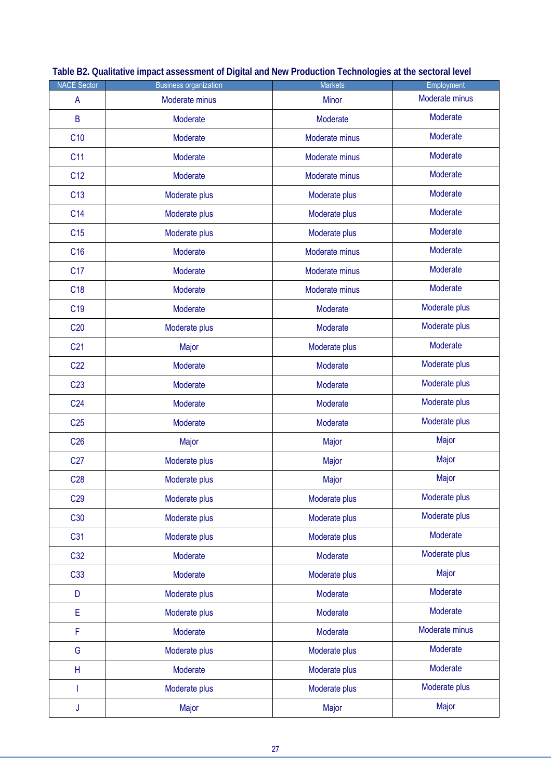| <b>NACE Sector</b> | <b>Business organization</b> | <b>Markets</b> | Employment     |
|--------------------|------------------------------|----------------|----------------|
| $\mathsf{A}$       | Moderate minus               | <b>Minor</b>   | Moderate minus |
| B                  | Moderate                     | Moderate       | Moderate       |
| C10                | Moderate                     | Moderate minus | Moderate       |
| C <sub>11</sub>    | Moderate                     | Moderate minus | Moderate       |
| C <sub>12</sub>    | Moderate                     | Moderate minus | Moderate       |
| C13                | Moderate plus                | Moderate plus  | Moderate       |
| C <sub>14</sub>    | Moderate plus                | Moderate plus  | Moderate       |
| C <sub>15</sub>    | Moderate plus                | Moderate plus  | Moderate       |
| C16                | Moderate                     | Moderate minus | Moderate       |
| C <sub>17</sub>    | Moderate                     | Moderate minus | Moderate       |
| C <sub>18</sub>    | Moderate                     | Moderate minus | Moderate       |
| C <sub>19</sub>    | Moderate                     | Moderate       | Moderate plus  |
| C20                | Moderate plus                | Moderate       | Moderate plus  |
| C <sub>21</sub>    | Major                        | Moderate plus  | Moderate       |
| C <sub>22</sub>    | Moderate                     | Moderate       | Moderate plus  |
| C <sub>23</sub>    | Moderate                     | Moderate       | Moderate plus  |
| C <sub>24</sub>    | Moderate                     | Moderate       | Moderate plus  |
| C <sub>25</sub>    | Moderate                     | Moderate       | Moderate plus  |
| C <sub>26</sub>    | Major                        | Major          | Major          |
| C27                | Moderate plus                | Major          | Major          |
| C <sub>28</sub>    | Moderate plus                | Major          | Major          |
| C <sub>29</sub>    | Moderate plus                | Moderate plus  | Moderate plus  |
| C <sub>30</sub>    | Moderate plus                | Moderate plus  | Moderate plus  |
| C31                | Moderate plus                | Moderate plus  | Moderate       |
| C32                | Moderate                     | Moderate       | Moderate plus  |
| C33                | Moderate                     | Moderate plus  | Major          |
| D                  | Moderate plus                | Moderate       | Moderate       |
| E                  | Moderate plus                | Moderate       | Moderate       |
| F                  | Moderate                     | Moderate       | Moderate minus |
| G                  | Moderate plus                | Moderate plus  | Moderate       |
| H                  | Moderate                     | Moderate plus  | Moderate       |
| I                  | Moderate plus                | Moderate plus  | Moderate plus  |
| J                  | Major                        | Major          | Major          |

|  | Table B2. Qualitative impact assessment of Digital and New Production Technologies at the sectoral level |
|--|----------------------------------------------------------------------------------------------------------|
|  |                                                                                                          |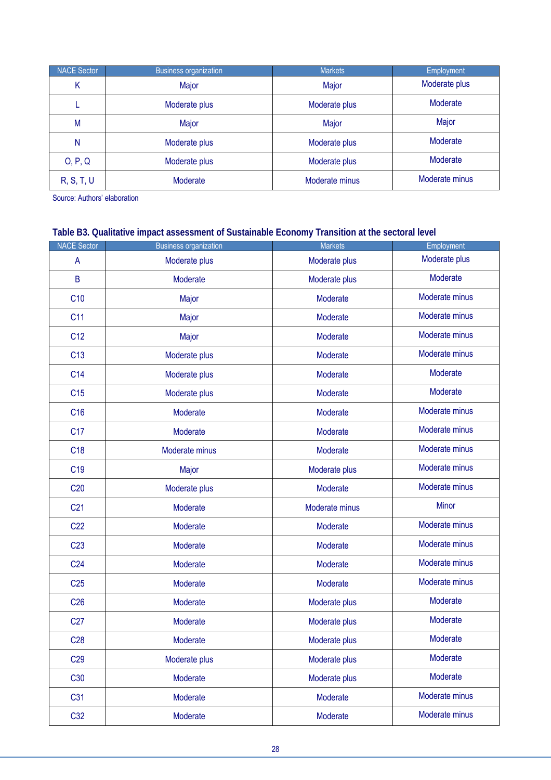| <b>NACE Sector</b> | <b>Business organization</b> | <b>Markets</b> | Employment     |
|--------------------|------------------------------|----------------|----------------|
| Κ                  | Major                        | Major          | Moderate plus  |
|                    | Moderate plus                | Moderate plus  | Moderate       |
| M                  | Major                        | Major          | Major          |
| N                  | Moderate plus                | Moderate plus  | Moderate       |
| O, P, Q            | Moderate plus                | Moderate plus  | Moderate       |
| <b>R, S, T, U</b>  | Moderate                     | Moderate minus | Moderate minus |

Source: Authors' elaboration

### **Table B3. Qualitative impact assessment of Sustainable Economy Transition at the sectoral level**

| <b>NACE Sector</b> | <b>Business organization</b> | <b>Markets</b> | Employment     |
|--------------------|------------------------------|----------------|----------------|
| $\mathsf{A}$       | Moderate plus                | Moderate plus  | Moderate plus  |
| $\mathsf B$        | Moderate                     | Moderate plus  | Moderate       |
| C10                | Major                        | Moderate       | Moderate minus |
| C <sub>11</sub>    | Major                        | Moderate       | Moderate minus |
| C <sub>12</sub>    | Major                        | Moderate       | Moderate minus |
| C13                | Moderate plus                | Moderate       | Moderate minus |
| C14                | Moderate plus                | Moderate       | Moderate       |
| C <sub>15</sub>    | Moderate plus                | Moderate       | Moderate       |
| C <sub>16</sub>    | Moderate                     | Moderate       | Moderate minus |
| C <sub>17</sub>    | Moderate                     | Moderate       | Moderate minus |
| C <sub>18</sub>    | Moderate minus               | Moderate       | Moderate minus |
| C <sub>19</sub>    | Major                        | Moderate plus  | Moderate minus |
| C20                | Moderate plus                | Moderate       | Moderate minus |
| C <sub>21</sub>    | Moderate                     | Moderate minus | <b>Minor</b>   |
| C <sub>22</sub>    | Moderate                     | Moderate       | Moderate minus |
| C <sub>23</sub>    | Moderate                     | Moderate       | Moderate minus |
| C <sub>24</sub>    | Moderate                     | Moderate       | Moderate minus |
| C <sub>25</sub>    | Moderate                     | Moderate       | Moderate minus |
| C <sub>26</sub>    | Moderate                     | Moderate plus  | Moderate       |
| C27                | Moderate                     | Moderate plus  | Moderate       |
| C <sub>28</sub>    | Moderate                     | Moderate plus  | Moderate       |
| C <sub>29</sub>    | Moderate plus                | Moderate plus  | Moderate       |
| C <sub>30</sub>    | Moderate                     | Moderate plus  | Moderate       |
| C31                | Moderate                     | Moderate       | Moderate minus |
| C32                | Moderate                     | Moderate       | Moderate minus |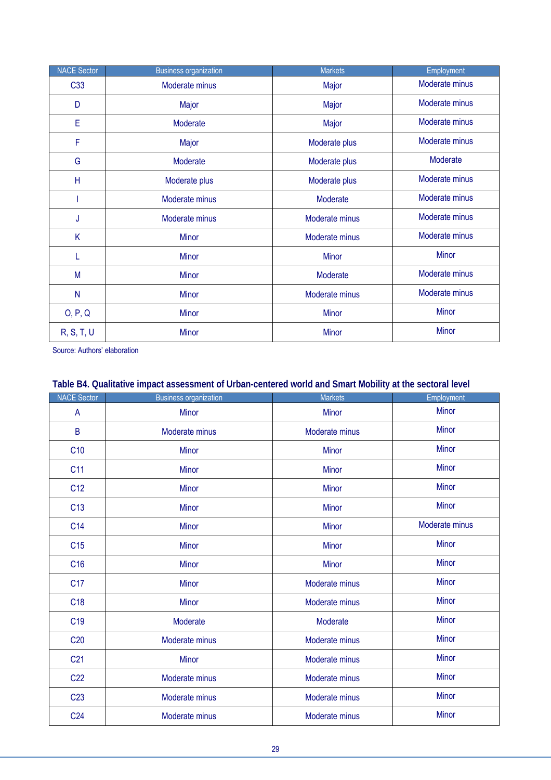| <b>NACE Sector</b> | <b>Business organization</b> | <b>Markets</b> | Employment     |
|--------------------|------------------------------|----------------|----------------|
| C <sub>33</sub>    | Moderate minus               | Major          | Moderate minus |
| D                  | Major                        | Major          | Moderate minus |
| E                  | Moderate                     | Major          | Moderate minus |
| F                  | Major                        | Moderate plus  | Moderate minus |
| G                  | Moderate                     | Moderate plus  | Moderate       |
| Η                  | Moderate plus                | Moderate plus  | Moderate minus |
|                    | Moderate minus               | Moderate       | Moderate minus |
| J                  | Moderate minus               | Moderate minus | Moderate minus |
| K                  | <b>Minor</b>                 | Moderate minus | Moderate minus |
| L                  | <b>Minor</b>                 | <b>Minor</b>   | <b>Minor</b>   |
| M                  | <b>Minor</b>                 | Moderate       | Moderate minus |
| $\mathsf{N}$       | <b>Minor</b>                 | Moderate minus | Moderate minus |
| O, P, Q            | Minor                        | <b>Minor</b>   | <b>Minor</b>   |
| R, S, T, U         | <b>Minor</b>                 | <b>Minor</b>   | <b>Minor</b>   |

Source: Authors' elaboration

### **Table B4. Qualitative impact assessment of Urban-centered world and Smart Mobility at the sectoral level**

| <b>NACE Sector</b> | <b>Business organization</b> | <b>Markets</b> | Employment     |
|--------------------|------------------------------|----------------|----------------|
| $\mathsf{A}$       | <b>Minor</b>                 | <b>Minor</b>   | <b>Minor</b>   |
| B                  | Moderate minus               | Moderate minus | <b>Minor</b>   |
| C10                | <b>Minor</b>                 | <b>Minor</b>   | <b>Minor</b>   |
| C <sub>11</sub>    | <b>Minor</b>                 | <b>Minor</b>   | <b>Minor</b>   |
| C12                | <b>Minor</b>                 | <b>Minor</b>   | <b>Minor</b>   |
| C13                | <b>Minor</b>                 | <b>Minor</b>   | <b>Minor</b>   |
| C14                | <b>Minor</b>                 | <b>Minor</b>   | Moderate minus |
| C15                | <b>Minor</b>                 | <b>Minor</b>   | <b>Minor</b>   |
| C <sub>16</sub>    | <b>Minor</b>                 | <b>Minor</b>   | <b>Minor</b>   |
| C <sub>17</sub>    | <b>Minor</b>                 | Moderate minus | <b>Minor</b>   |
| C <sub>18</sub>    | <b>Minor</b>                 | Moderate minus | <b>Minor</b>   |
| C <sub>19</sub>    | Moderate                     | Moderate       | <b>Minor</b>   |
| C <sub>20</sub>    | Moderate minus               | Moderate minus | <b>Minor</b>   |
| C <sub>21</sub>    | <b>Minor</b>                 | Moderate minus | <b>Minor</b>   |
| C <sub>22</sub>    | Moderate minus               | Moderate minus | <b>Minor</b>   |
| C <sub>23</sub>    | Moderate minus               | Moderate minus | <b>Minor</b>   |
| C <sub>24</sub>    | Moderate minus               | Moderate minus | <b>Minor</b>   |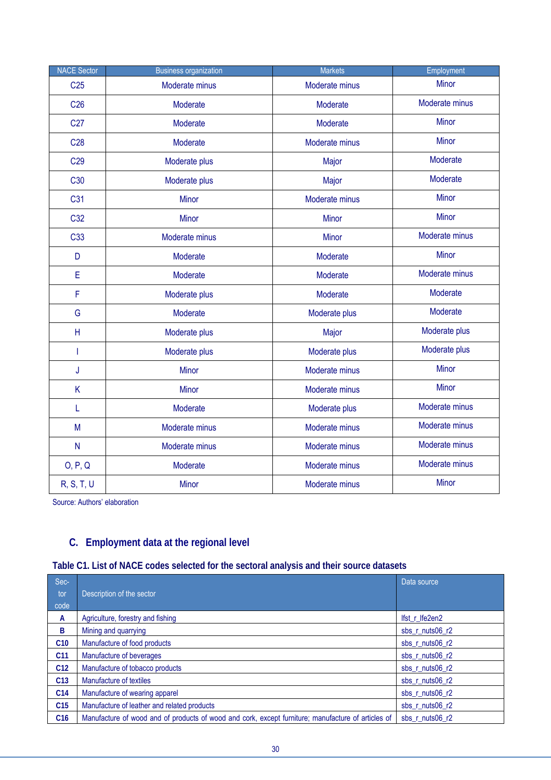| <b>NACE Sector</b> | <b>Business organization</b> | <b>Markets</b> | Employment     |
|--------------------|------------------------------|----------------|----------------|
| C <sub>25</sub>    | Moderate minus               | Moderate minus | Minor          |
| C <sub>26</sub>    | Moderate                     | Moderate       | Moderate minus |
| C <sub>27</sub>    | Moderate                     | Moderate       | <b>Minor</b>   |
| C <sub>28</sub>    | Moderate                     | Moderate minus | <b>Minor</b>   |
| C <sub>29</sub>    | Moderate plus                | Major          | Moderate       |
| C <sub>30</sub>    | Moderate plus                | Major          | Moderate       |
| C31                | <b>Minor</b>                 | Moderate minus | <b>Minor</b>   |
| C32                | <b>Minor</b>                 | Minor          | Minor          |
| C <sub>33</sub>    | Moderate minus               | Minor          | Moderate minus |
| D                  | Moderate                     | Moderate       | <b>Minor</b>   |
| $\mathsf E$        | Moderate                     | Moderate       | Moderate minus |
| $\mathsf F$        | Moderate plus                | Moderate       | Moderate       |
| G                  | Moderate                     | Moderate plus  | Moderate       |
| H                  | Moderate plus                | Major          | Moderate plus  |
| T                  | Moderate plus                | Moderate plus  | Moderate plus  |
| J                  | <b>Minor</b>                 | Moderate minus | <b>Minor</b>   |
| K                  | <b>Minor</b>                 | Moderate minus | <b>Minor</b>   |
| L                  | Moderate                     | Moderate plus  | Moderate minus |
| M                  | Moderate minus               | Moderate minus | Moderate minus |
| N                  | Moderate minus               | Moderate minus | Moderate minus |
| O, P, Q            | Moderate                     | Moderate minus | Moderate minus |
| R, S, T, U         | <b>Minor</b>                 | Moderate minus | <b>Minor</b>   |

Source: Authors' elaboration

### **C. Employment data at the regional level**

|  | Table C1. List of NACE codes selected for the sectoral analysis and their source datasets |
|--|-------------------------------------------------------------------------------------------|
|  |                                                                                           |

| Sec-            |                                                                                                    | Data source     |
|-----------------|----------------------------------------------------------------------------------------------------|-----------------|
| tor             | Description of the sector                                                                          |                 |
| code            |                                                                                                    |                 |
| A               | Agriculture, forestry and fishing                                                                  | Ifst r Ife2en2  |
| B               | Mining and quarrying                                                                               | sbs r nuts06 r2 |
| C10             | Manufacture of food products                                                                       | sbs r nuts06 r2 |
| C11             | Manufacture of beverages                                                                           | sbs r nuts06 r2 |
| C12             | Manufacture of tobacco products                                                                    | sbs r nuts06 r2 |
| C13             | Manufacture of textiles                                                                            | sbs r nuts06 r2 |
| C14             | Manufacture of wearing apparel                                                                     | sbs r nuts06 r2 |
| C <sub>15</sub> | Manufacture of leather and related products                                                        | sbs r nuts06 r2 |
| C16             | Manufacture of wood and of products of wood and cork, except furniture; manufacture of articles of | sbs r nuts06 r2 |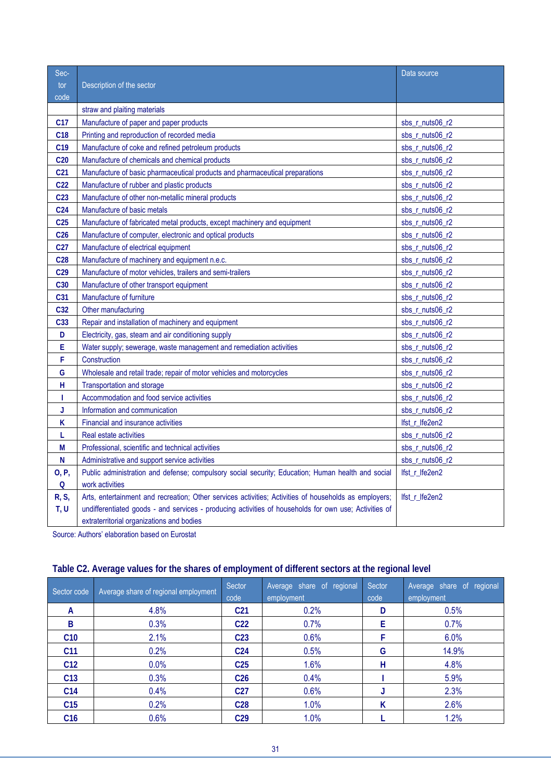| Sec-            |                                                                                                       | Data source           |
|-----------------|-------------------------------------------------------------------------------------------------------|-----------------------|
| tor             | Description of the sector                                                                             |                       |
| code            |                                                                                                       |                       |
|                 | straw and plaiting materials                                                                          |                       |
| C <sub>17</sub> | Manufacture of paper and paper products                                                               | sbs r nuts06 r2       |
| C18             | Printing and reproduction of recorded media                                                           | sbs_r_nuts06_r2       |
| C <sub>19</sub> | Manufacture of coke and refined petroleum products                                                    | sbs r nuts06 r2       |
| C <sub>20</sub> | Manufacture of chemicals and chemical products                                                        | sbs_r_nuts06_r2       |
| C <sub>21</sub> | Manufacture of basic pharmaceutical products and pharmaceutical preparations                          | sbs_r_nuts06_r2       |
| C <sub>22</sub> | Manufacture of rubber and plastic products                                                            | sbs_r_nuts06_r2       |
| C <sub>23</sub> | Manufacture of other non-metallic mineral products                                                    | sbs $r$ nuts 06 $r$ 2 |
| C <sub>24</sub> | Manufacture of basic metals                                                                           | sbs_r_nuts06_r2       |
| C <sub>25</sub> | Manufacture of fabricated metal products, except machinery and equipment                              | sbs_r_nuts06_r2       |
| C <sub>26</sub> | Manufacture of computer, electronic and optical products                                              | sbs_r_nuts06_r2       |
| C <sub>27</sub> | Manufacture of electrical equipment                                                                   | sbs_r_nuts06_r2       |
| C <sub>28</sub> | Manufacture of machinery and equipment n.e.c.                                                         | sbs r nuts06 r2       |
| C <sub>29</sub> | Manufacture of motor vehicles, trailers and semi-trailers                                             | sbs r nuts06 r2       |
| C30             | Manufacture of other transport equipment                                                              | sbs $r$ nuts 06 $r$ 2 |
| C31             | Manufacture of furniture                                                                              | sbs_r_nuts06_r2       |
| C32             | Other manufacturing                                                                                   | sbs $r$ nuts $06 r2$  |
| C33             | Repair and installation of machinery and equipment                                                    | sbs_r_nuts06_r2       |
| D               | Electricity, gas, steam and air conditioning supply                                                   | sbs_r_nuts06_r2       |
| E               | Water supply; sewerage, waste management and remediation activities                                   | sbs_r_nuts06_r2       |
| F               | Construction                                                                                          | sbs_r_nuts06_r2       |
| G               | Wholesale and retail trade; repair of motor vehicles and motorcycles                                  | sbs r nuts06 r2       |
| Н               | Transportation and storage                                                                            | sbs_r_nuts06_r2       |
| Т               | Accommodation and food service activities                                                             | sbs_r_nuts06_r2       |
| J               | Information and communication                                                                         | sbs_r_nuts06_r2       |
| K               | Financial and insurance activities                                                                    | lfst_r_lfe2en2        |
| L               | Real estate activities                                                                                | sbs_r_nuts06_r2       |
| М               | Professional, scientific and technical activities                                                     | sbs_r_nuts06_r2       |
| N               | Administrative and support service activities                                                         | sbs_r_nuts06_r2       |
| O, P,           | Public administration and defense; compulsory social security; Education; Human health and social     | lfst r lfe2en2        |
| $\mathsf{Q}$    | work activities                                                                                       |                       |
| R, S,           | Arts, entertainment and recreation; Other services activities; Activities of households as employers; | lfst_r_lfe2en2        |
| T, U            | undifferentiated goods - and services - producing activities of households for own use; Activities of |                       |
|                 | extraterritorial organizations and bodies                                                             |                       |

Source: Authors' elaboration based on Eurostat

| Sector code     | Average share of regional employment | Sector<br>code  | Average share of regional<br>employment | Sector<br>code | Average share of regional<br>employment |
|-----------------|--------------------------------------|-----------------|-----------------------------------------|----------------|-----------------------------------------|
| A               | 4.8%                                 | C <sub>21</sub> | 0.2%                                    | D              | 0.5%                                    |
| B               | 0.3%                                 | C <sub>22</sub> | 0.7%                                    | F              | 0.7%                                    |
| C10             | 2.1%                                 | C <sub>23</sub> | 0.6%                                    |                | 6.0%                                    |
| C <sub>11</sub> | 0.2%                                 | C <sub>24</sub> | 0.5%                                    | G              | 14.9%                                   |
| C12             | 0.0%                                 | C <sub>25</sub> | 1.6%                                    | н              | 4.8%                                    |
| C <sub>13</sub> | 0.3%                                 | C <sub>26</sub> | 0.4%                                    |                | 5.9%                                    |
| C <sub>14</sub> | 0.4%                                 | C <sub>27</sub> | 0.6%                                    |                | 2.3%                                    |
| C <sub>15</sub> | 0.2%                                 | C <sub>28</sub> | 1.0%                                    | ĸ              | 2.6%                                    |
| C16             | 0.6%                                 | C <sub>29</sub> | 1.0%                                    |                | 1.2%                                    |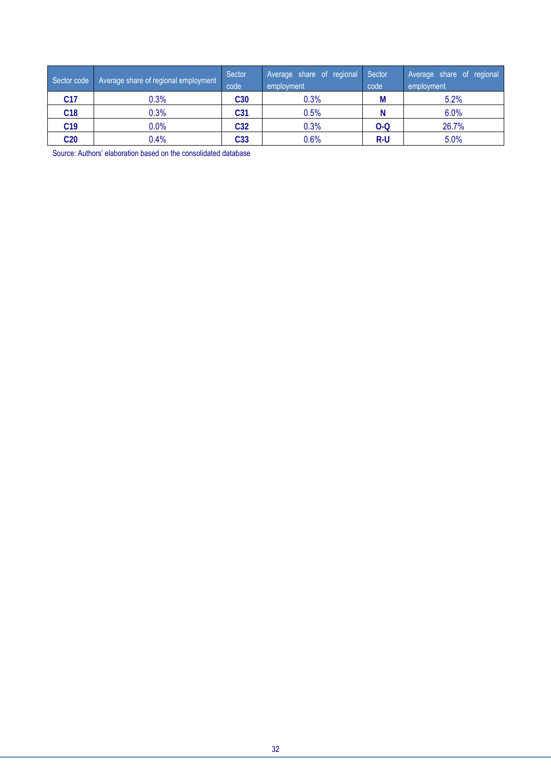| Sector code     | Average share of regional employment | Sector<br>code  | Average share of regional<br>employment | Sector<br>code | Average share of regional<br>employment |
|-----------------|--------------------------------------|-----------------|-----------------------------------------|----------------|-----------------------------------------|
| C17             | 0.3%                                 | C <sub>30</sub> | 0.3%                                    | M              | 5.2%                                    |
| C18             | 0.3%                                 | C31             | $0.5\%$                                 |                | 6.0%                                    |
| C19             | $0.0\%$                              | C <sub>32</sub> | 0.3%                                    | $O-O$          | 26.7%                                   |
| C <sub>20</sub> | 0.4%                                 | C33             | $0.6\%$                                 | $R-U$          | 5.0%                                    |

Source: Authors' elaboration based on the consolidated database